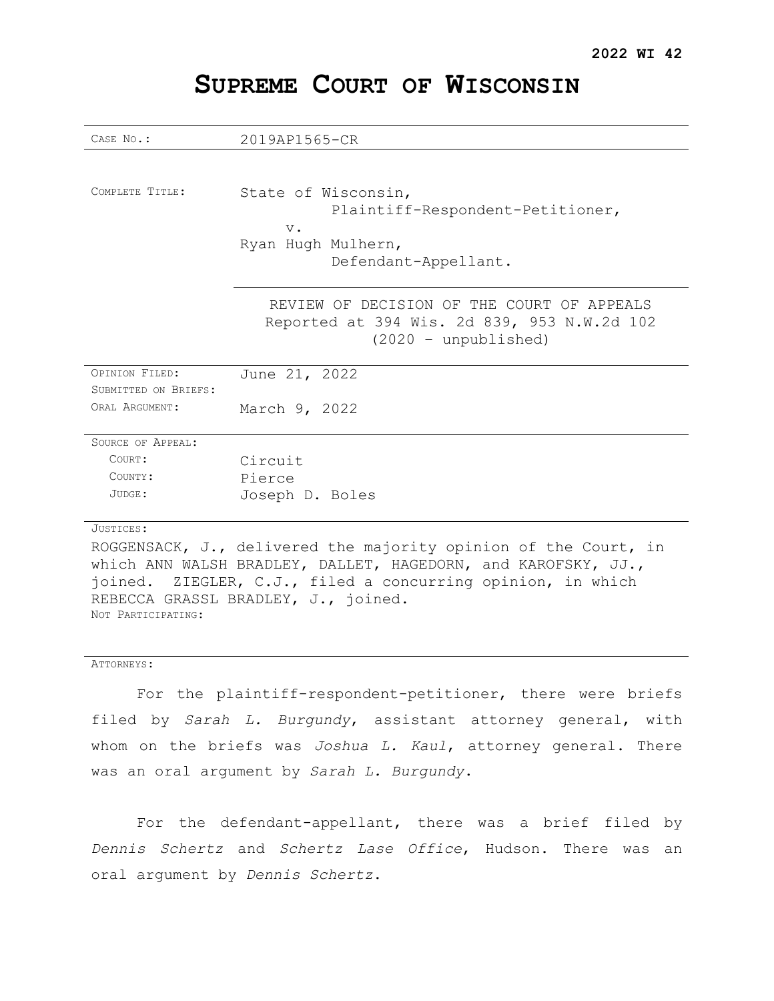# **SUPREME COURT OF WISCONSIN**

| CASE No.:            | 2019AP1565-CR                                                                             |
|----------------------|-------------------------------------------------------------------------------------------|
|                      |                                                                                           |
|                      |                                                                                           |
| COMPLETE TITLE:      | State of Wisconsin,                                                                       |
|                      | Plaintiff-Respondent-Petitioner,                                                          |
|                      | $V$ .                                                                                     |
|                      | Ryan Hugh Mulhern,                                                                        |
|                      | Defendant-Appellant.                                                                      |
|                      | REVIEW OF DECISION OF THE COURT OF APPEALS<br>Reported at 394 Wis. 2d 839, 953 N.W.2d 102 |
|                      | $(2020 - unpublic$                                                                        |
| OPINION FILED:       | June 21, 2022                                                                             |
| SUBMITTED ON BRIEFS: |                                                                                           |
| ORAL ARGUMENT:       | March 9, 2022                                                                             |
| SOURCE OF APPEAL:    |                                                                                           |
| COURT:               | Circuit                                                                                   |
| COUNTY:              | Pierce                                                                                    |
| JUDGE:               | Joseph D. Boles                                                                           |
|                      |                                                                                           |
| JUSTICES:            |                                                                                           |
|                      | ROGGENSACK, J., delivered the majority opinion of the Court, in                           |
|                      | which ANN WALSH BRADLEY, DALLET, HAGEDORN, and KAROFSKY, JJ.,                             |

joined. ZIEGLER, C.J., filed a concurring opinion, in which REBECCA GRASSL BRADLEY, J., joined. NOT PARTICIPATING:

#### ATTORNEYS:

For the plaintiff-respondent-petitioner, there were briefs filed by *Sarah L. Burgundy*, assistant attorney general, with whom on the briefs was *Joshua L. Kaul*, attorney general. There was an oral argument by *Sarah L. Burgundy*.

For the defendant-appellant, there was a brief filed by *Dennis Schertz* and *Schertz Lase Office*, Hudson. There was an oral argument by *Dennis Schertz*.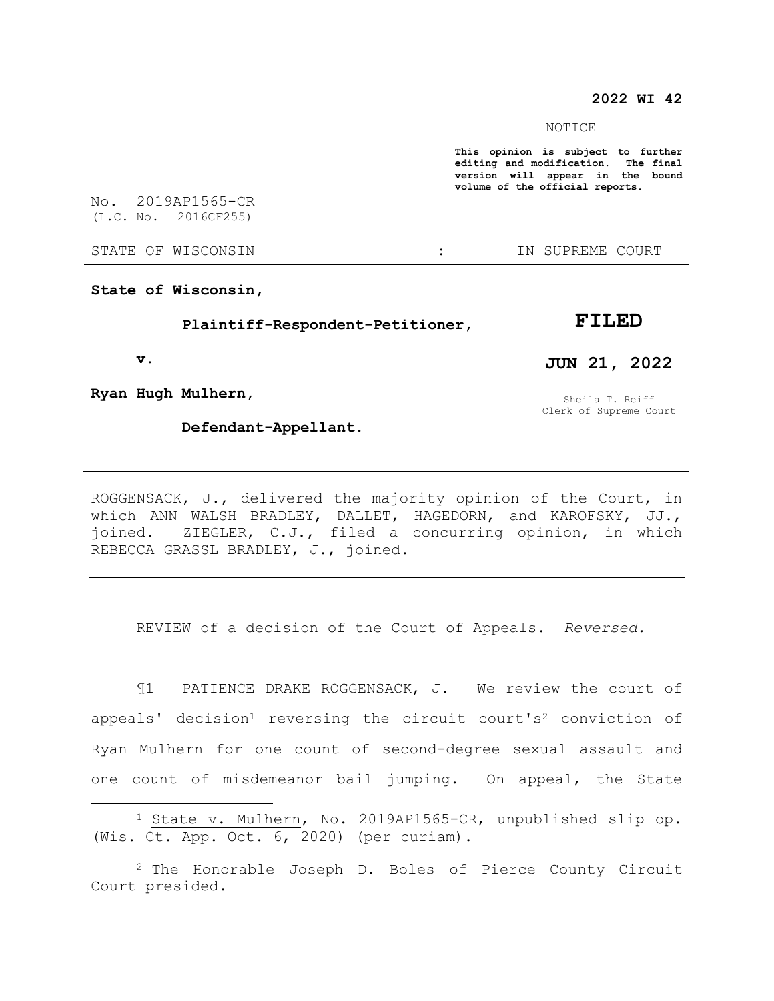### **2022 WI 42**

#### NOTICE

**This opinion is subject to further editing and modification. The final version will appear in the bound volume of the official reports.** 

No. 2019AP1565-CR (L.C. No. 2016CF255)

STATE OF WISCONSIN THE RESERVE STATE OF WISCONSIN

**State of Wisconsin,**

 **Plaintiff-Respondent-Petitioner,**

 **v.**

 $\overline{a}$ 

**Ryan Hugh Mulhern,**

 **Defendant-Appellant.**

**FILED**

**JUN 21, 2022**

Sheila T. Reiff Clerk of Supreme Court

which ANN WALSH BRADLEY, DALLET, HAGEDORN, and KAROFSKY, JJ., joined. ZIEGLER, C.J., filed a concurring opinion, in which REBECCA GRASSL BRADLEY, J., joined.

ROGGENSACK, J., delivered the majority opinion of the Court, in

REVIEW of a decision of the Court of Appeals. *Reversed.*

¶1 PATIENCE DRAKE ROGGENSACK, J. We review the court of appeals' decision<sup>1</sup> reversing the circuit court's<sup>2</sup> conviction of Ryan Mulhern for one count of second-degree sexual assault and one count of misdemeanor bail jumping. On appeal, the State

<sup>1</sup> State v. Mulhern, No. 2019AP1565-CR, unpublished slip op. (Wis. Ct. App. Oct. 6, 2020) (per curiam).

<sup>2</sup> The Honorable Joseph D. Boles of Pierce County Circuit Court presided.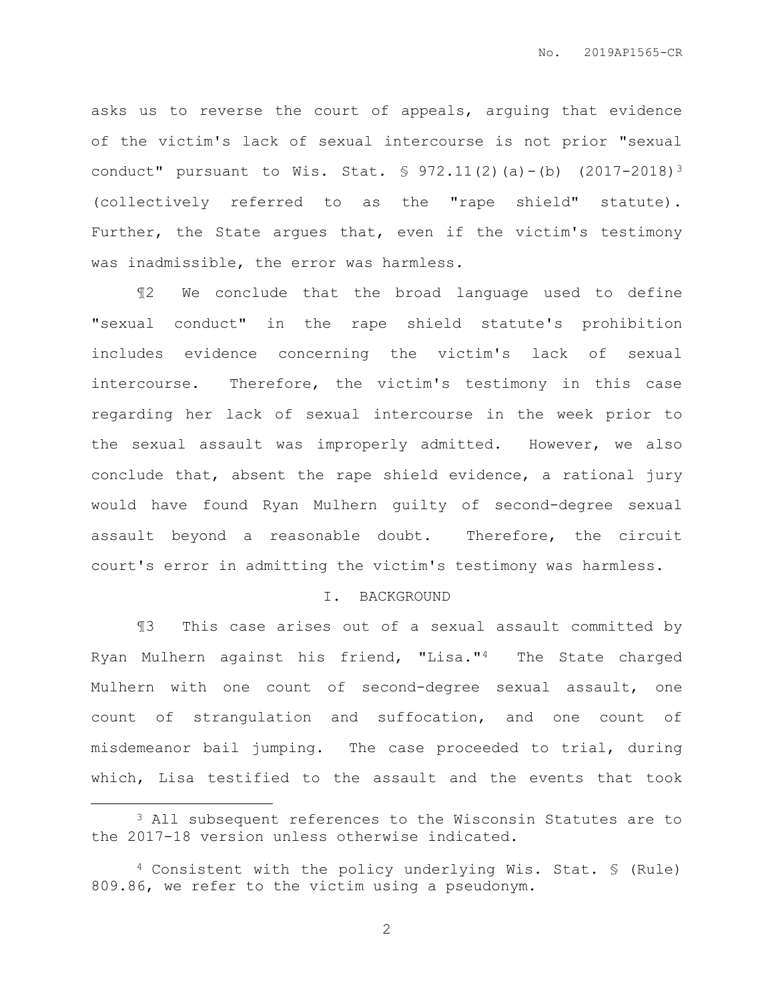asks us to reverse the court of appeals, arguing that evidence of the victim's lack of sexual intercourse is not prior "sexual conduct" pursuant to Wis. Stat. § 972.11(2)(a)-(b) (2017-2018)<sup>3</sup> (collectively referred to as the "rape shield" statute). Further, the State argues that, even if the victim's testimony was inadmissible, the error was harmless.

¶2 We conclude that the broad language used to define "sexual conduct" in the rape shield statute's prohibition includes evidence concerning the victim's lack of sexual intercourse. Therefore, the victim's testimony in this case regarding her lack of sexual intercourse in the week prior to the sexual assault was improperly admitted. However, we also conclude that, absent the rape shield evidence, a rational jury would have found Ryan Mulhern guilty of second-degree sexual assault beyond a reasonable doubt. Therefore, the circuit court's error in admitting the victim's testimony was harmless.

#### I. BACKGROUND

¶3 This case arises out of a sexual assault committed by Ryan Mulhern against his friend, "Lisa."4 The State charged Mulhern with one count of second-degree sexual assault, one count of strangulation and suffocation, and one count of misdemeanor bail jumping. The case proceeded to trial, during which, Lisa testified to the assault and the events that took

 $\overline{a}$ 

<sup>3</sup> All subsequent references to the Wisconsin Statutes are to the 2017-18 version unless otherwise indicated.

<sup>4</sup> Consistent with the policy underlying Wis. Stat. § (Rule) 809.86, we refer to the victim using a pseudonym.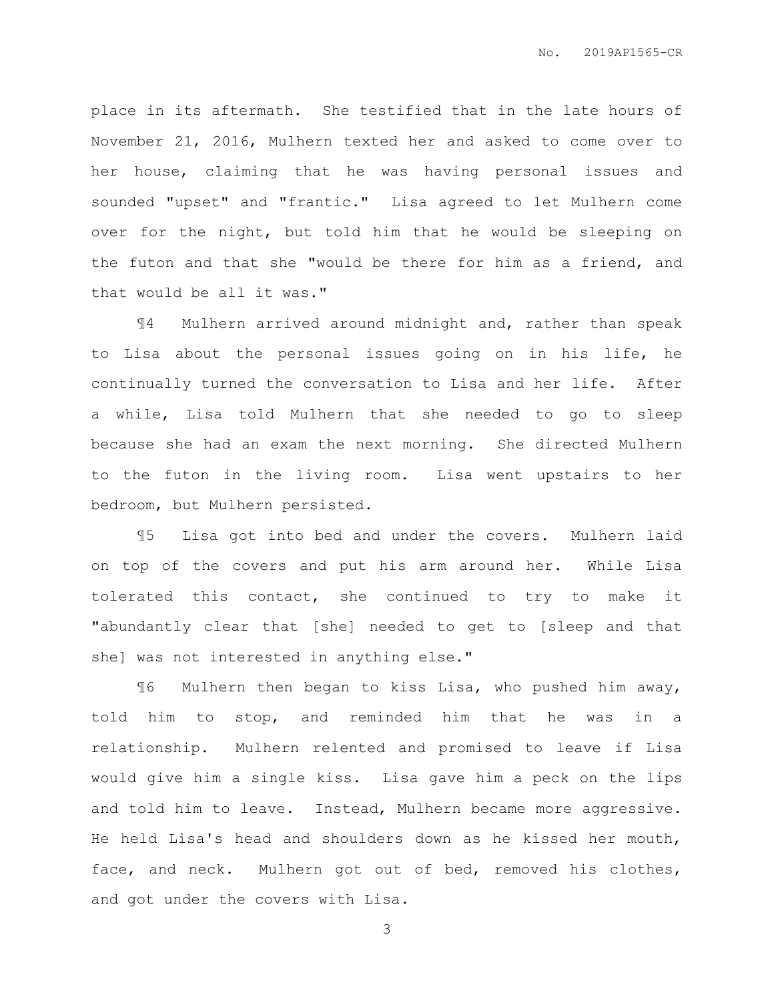place in its aftermath. She testified that in the late hours of November 21, 2016, Mulhern texted her and asked to come over to her house, claiming that he was having personal issues and sounded "upset" and "frantic." Lisa agreed to let Mulhern come over for the night, but told him that he would be sleeping on the futon and that she "would be there for him as a friend, and that would be all it was."

¶4 Mulhern arrived around midnight and, rather than speak to Lisa about the personal issues going on in his life, he continually turned the conversation to Lisa and her life. After a while, Lisa told Mulhern that she needed to go to sleep because she had an exam the next morning. She directed Mulhern to the futon in the living room. Lisa went upstairs to her bedroom, but Mulhern persisted.

¶5 Lisa got into bed and under the covers. Mulhern laid on top of the covers and put his arm around her. While Lisa tolerated this contact, she continued to try to make it "abundantly clear that [she] needed to get to [sleep and that she] was not interested in anything else."

¶6 Mulhern then began to kiss Lisa, who pushed him away, told him to stop, and reminded him that he was in a relationship. Mulhern relented and promised to leave if Lisa would give him a single kiss. Lisa gave him a peck on the lips and told him to leave. Instead, Mulhern became more aggressive. He held Lisa's head and shoulders down as he kissed her mouth, face, and neck. Mulhern got out of bed, removed his clothes, and got under the covers with Lisa.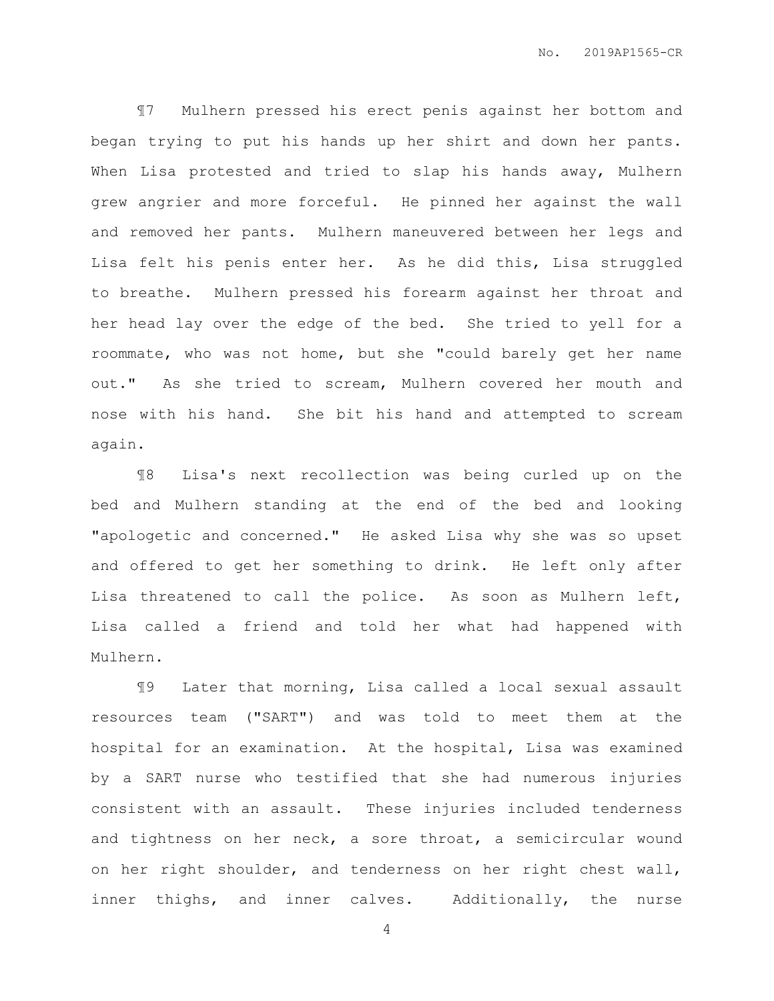¶7 Mulhern pressed his erect penis against her bottom and began trying to put his hands up her shirt and down her pants. When Lisa protested and tried to slap his hands away, Mulhern grew angrier and more forceful. He pinned her against the wall and removed her pants. Mulhern maneuvered between her legs and Lisa felt his penis enter her. As he did this, Lisa struggled to breathe. Mulhern pressed his forearm against her throat and her head lay over the edge of the bed. She tried to yell for a roommate, who was not home, but she "could barely get her name out." As she tried to scream, Mulhern covered her mouth and nose with his hand. She bit his hand and attempted to scream again.

¶8 Lisa's next recollection was being curled up on the bed and Mulhern standing at the end of the bed and looking "apologetic and concerned." He asked Lisa why she was so upset and offered to get her something to drink. He left only after Lisa threatened to call the police. As soon as Mulhern left, Lisa called a friend and told her what had happened with Mulhern.

¶9 Later that morning, Lisa called a local sexual assault resources team ("SART") and was told to meet them at the hospital for an examination. At the hospital, Lisa was examined by a SART nurse who testified that she had numerous injuries consistent with an assault. These injuries included tenderness and tightness on her neck, a sore throat, a semicircular wound on her right shoulder, and tenderness on her right chest wall, inner thighs, and inner calves. Additionally, the nurse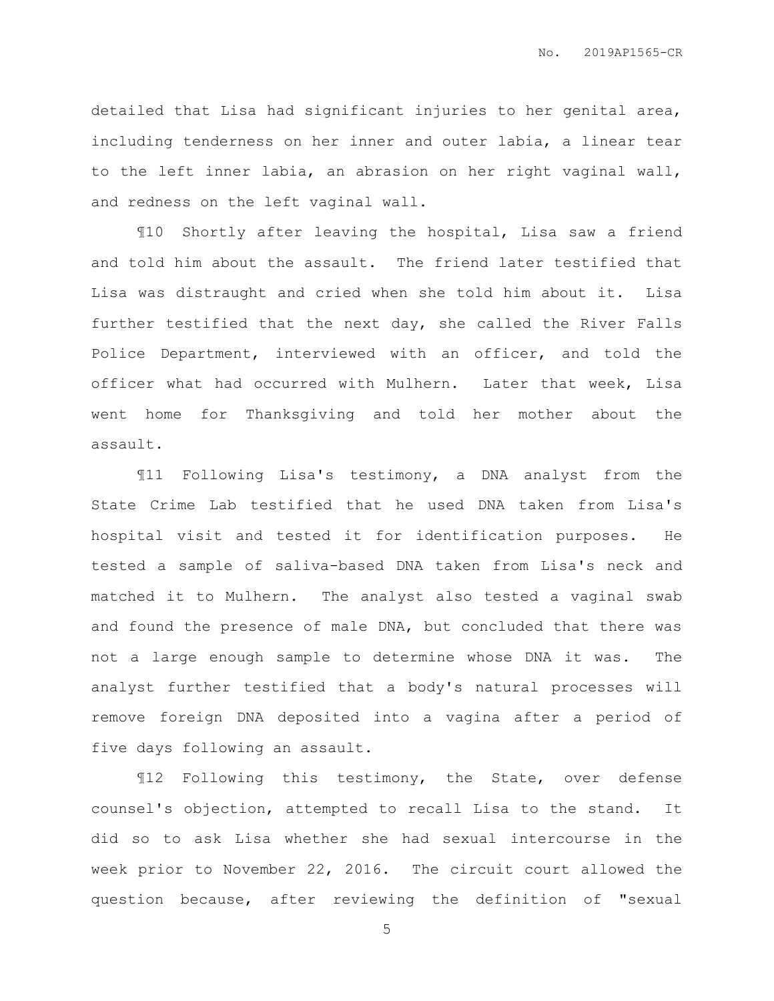detailed that Lisa had significant injuries to her genital area, including tenderness on her inner and outer labia, a linear tear to the left inner labia, an abrasion on her right vaginal wall, and redness on the left vaginal wall.

¶10 Shortly after leaving the hospital, Lisa saw a friend and told him about the assault. The friend later testified that Lisa was distraught and cried when she told him about it. Lisa further testified that the next day, she called the River Falls Police Department, interviewed with an officer, and told the officer what had occurred with Mulhern. Later that week, Lisa went home for Thanksgiving and told her mother about the assault.

¶11 Following Lisa's testimony, a DNA analyst from the State Crime Lab testified that he used DNA taken from Lisa's hospital visit and tested it for identification purposes. He tested a sample of saliva-based DNA taken from Lisa's neck and matched it to Mulhern. The analyst also tested a vaginal swab and found the presence of male DNA, but concluded that there was not a large enough sample to determine whose DNA it was. The analyst further testified that a body's natural processes will remove foreign DNA deposited into a vagina after a period of five days following an assault.

¶12 Following this testimony, the State, over defense counsel's objection, attempted to recall Lisa to the stand. It did so to ask Lisa whether she had sexual intercourse in the week prior to November 22, 2016. The circuit court allowed the question because, after reviewing the definition of "sexual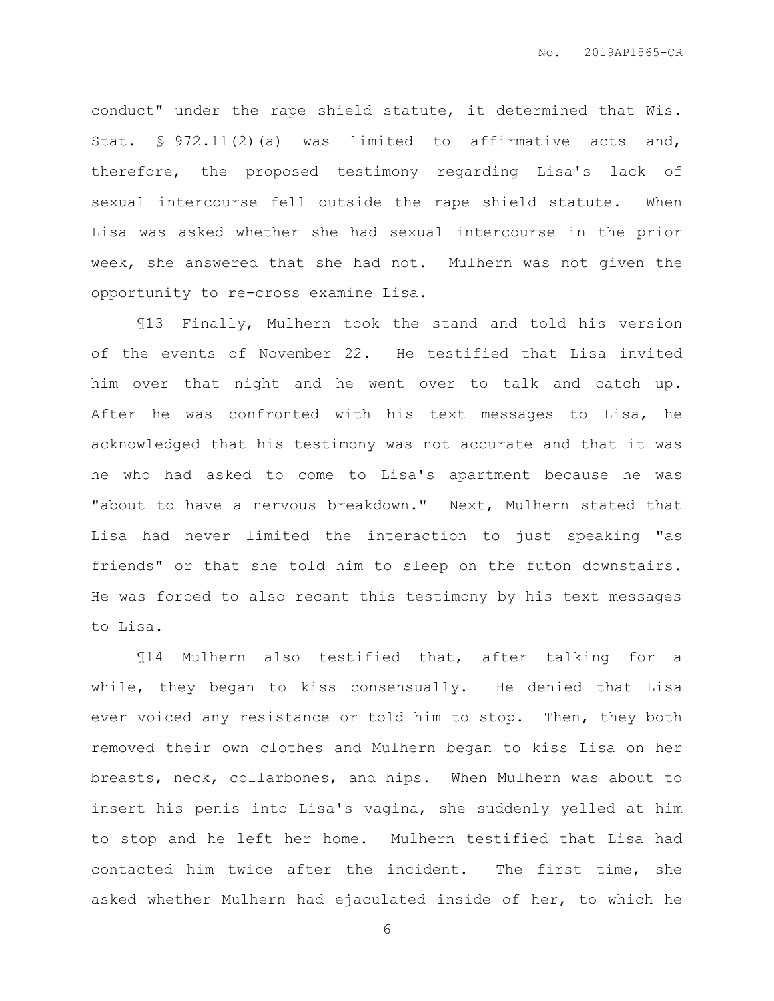conduct" under the rape shield statute, it determined that Wis. Stat. § 972.11(2)(a) was limited to affirmative acts and, therefore, the proposed testimony regarding Lisa's lack of sexual intercourse fell outside the rape shield statute. When Lisa was asked whether she had sexual intercourse in the prior week, she answered that she had not. Mulhern was not given the opportunity to re-cross examine Lisa.

¶13 Finally, Mulhern took the stand and told his version of the events of November 22. He testified that Lisa invited him over that night and he went over to talk and catch up. After he was confronted with his text messages to Lisa, he acknowledged that his testimony was not accurate and that it was he who had asked to come to Lisa's apartment because he was "about to have a nervous breakdown." Next, Mulhern stated that Lisa had never limited the interaction to just speaking "as friends" or that she told him to sleep on the futon downstairs. He was forced to also recant this testimony by his text messages to Lisa.

¶14 Mulhern also testified that, after talking for a while, they began to kiss consensually. He denied that Lisa ever voiced any resistance or told him to stop. Then, they both removed their own clothes and Mulhern began to kiss Lisa on her breasts, neck, collarbones, and hips. When Mulhern was about to insert his penis into Lisa's vagina, she suddenly yelled at him to stop and he left her home. Mulhern testified that Lisa had contacted him twice after the incident. The first time, she asked whether Mulhern had ejaculated inside of her, to which he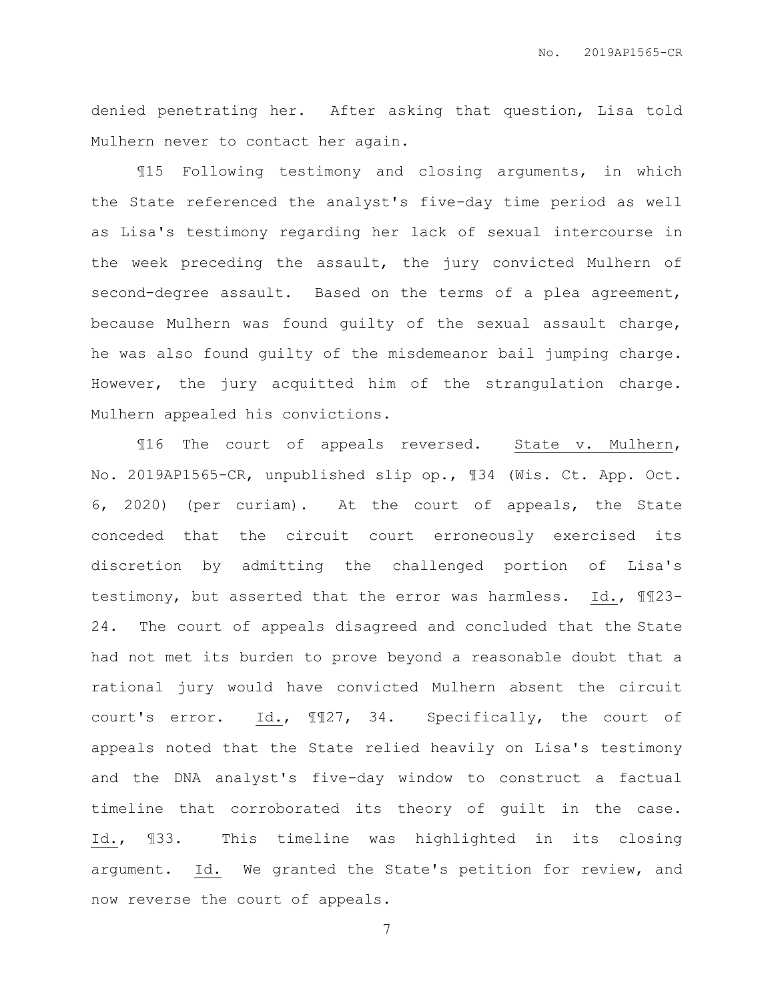denied penetrating her. After asking that question, Lisa told Mulhern never to contact her again.

¶15 Following testimony and closing arguments, in which the State referenced the analyst's five-day time period as well as Lisa's testimony regarding her lack of sexual intercourse in the week preceding the assault, the jury convicted Mulhern of second-degree assault. Based on the terms of a plea agreement, because Mulhern was found guilty of the sexual assault charge, he was also found guilty of the misdemeanor bail jumping charge. However, the jury acquitted him of the strangulation charge. Mulhern appealed his convictions.

¶16 The court of appeals reversed. State v. Mulhern, No. 2019AP1565-CR, unpublished slip op., ¶34 (Wis. Ct. App. Oct. 6, 2020) (per curiam). At the court of appeals, the State conceded that the circuit court erroneously exercised its discretion by admitting the challenged portion of Lisa's testimony, but asserted that the error was harmless. Id., ¶¶23- 24. The court of appeals disagreed and concluded that the State had not met its burden to prove beyond a reasonable doubt that a rational jury would have convicted Mulhern absent the circuit court's error. Id., ¶¶27, 34. Specifically, the court of appeals noted that the State relied heavily on Lisa's testimony and the DNA analyst's five-day window to construct a factual timeline that corroborated its theory of guilt in the case. Id., ¶33. This timeline was highlighted in its closing argument. Id. We granted the State's petition for review, and now reverse the court of appeals.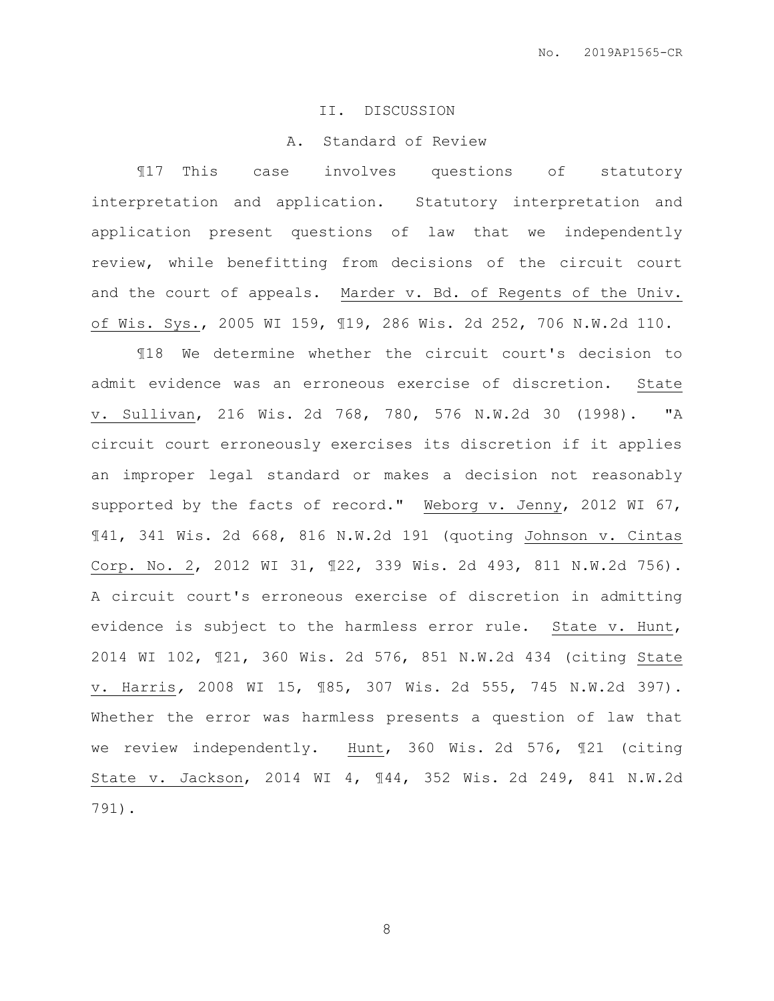### II. DISCUSSION

### A. Standard of Review

¶17 This case involves questions of statutory interpretation and application. Statutory interpretation and application present questions of law that we independently review, while benefitting from decisions of the circuit court and the court of appeals. Marder v. Bd. of Regents of the Univ. of Wis. Sys., 2005 WI 159, ¶19, 286 Wis. 2d 252, 706 N.W.2d 110.

¶18 We determine whether the circuit court's decision to admit evidence was an erroneous exercise of discretion. State v. Sullivan, 216 Wis. 2d 768, 780, 576 N.W.2d 30 (1998). "A circuit court erroneously exercises its discretion if it applies an improper legal standard or makes a decision not reasonably supported by the facts of record." Weborg v. Jenny, 2012 WI 67, ¶41, 341 Wis. 2d 668, 816 N.W.2d 191 (quoting Johnson v. Cintas Corp. No. 2, 2012 WI 31, ¶22, 339 Wis. 2d 493, 811 N.W.2d 756). A circuit court's erroneous exercise of discretion in admitting evidence is subject to the harmless error rule. State v. Hunt, 2014 WI 102, ¶21, 360 Wis. 2d 576, 851 N.W.2d 434 (citing State v. Harris*,* 2008 WI 15, ¶85, 307 Wis. 2d 555, 745 N.W.2d 397). Whether the error was harmless presents a question of law that we review independently. Hunt, 360 Wis. 2d 576, ¶21 (citing State v. Jackson, 2014 WI 4, ¶44, 352 Wis. 2d 249, 841 N.W.2d 791).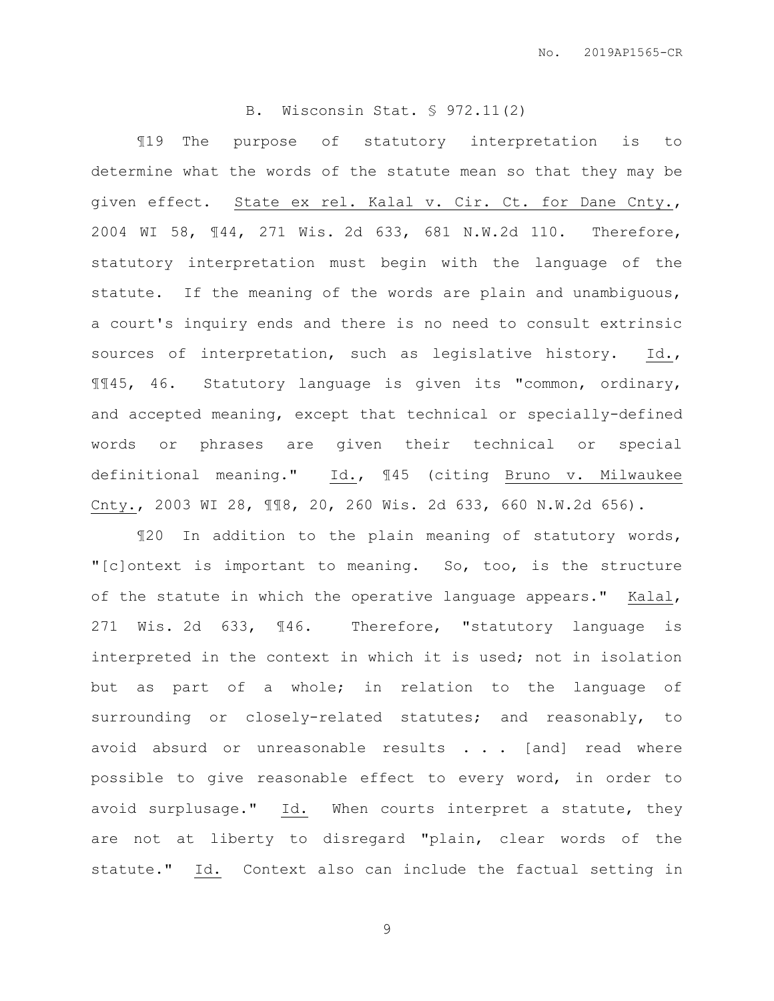# B. Wisconsin Stat. § 972.11(2)

¶19 The purpose of statutory interpretation is to determine what the words of the statute mean so that they may be given effect. State ex rel. Kalal v. Cir. Ct. for Dane Cnty., 2004 WI 58, ¶44, 271 Wis. 2d 633, 681 N.W.2d 110. Therefore, statutory interpretation must begin with the language of the statute. If the meaning of the words are plain and unambiguous, a court's inquiry ends and there is no need to consult extrinsic sources of interpretation, such as legislative history. Id., ¶¶45, 46. Statutory language is given its "common, ordinary, and accepted meaning, except that technical or specially-defined words or phrases are given their technical or special definitional meaning." Id., ¶45 (citing Bruno v. Milwaukee Cnty., 2003 WI 28, ¶¶8, 20, 260 Wis. 2d 633, 660 N.W.2d 656).

¶20 In addition to the plain meaning of statutory words, "[c]ontext is important to meaning. So, too, is the structure of the statute in which the operative language appears." Kalal, 271 Wis. 2d 633, ¶46. Therefore, "statutory language is interpreted in the context in which it is used; not in isolation but as part of a whole; in relation to the language of surrounding or closely-related statutes; and reasonably, to avoid absurd or unreasonable results . . . [and] read where possible to give reasonable effect to every word, in order to avoid surplusage." Id. When courts interpret a statute, they are not at liberty to disregard "plain, clear words of the statute." Id. Context also can include the factual setting in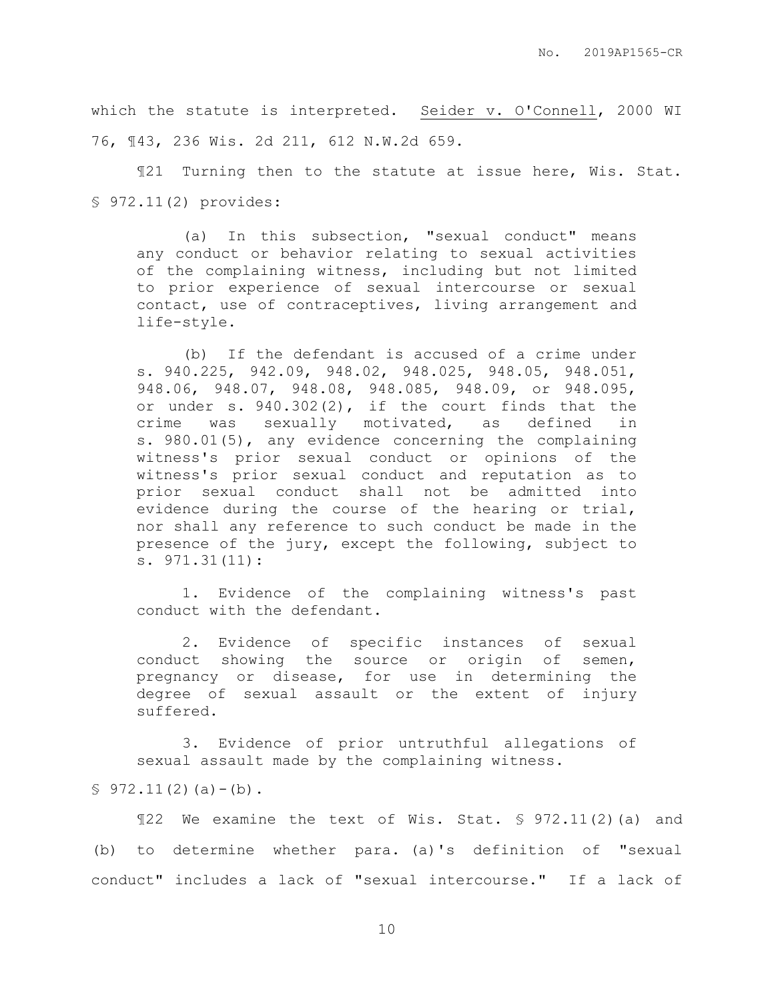which the statute is interpreted. Seider v. O'Connell, 2000 WI 76, ¶43, 236 Wis. 2d 211, 612 N.W.2d 659.

¶21 Turning then to the statute at issue here, Wis. Stat. § 972.11(2) provides:

(a) In this subsection, "sexual conduct" means any conduct or behavior relating to sexual activities of the complaining witness, including but not limited to prior experience of sexual intercourse or sexual contact, use of contraceptives, living arrangement and life-style.

(b) If the defendant is accused of a crime under s. 940.225, 942.09, 948.02, 948.025, 948.05, 948.051, 948.06, 948.07, 948.08, 948.085, 948.09, or 948.095, or under s. 940.302(2), if the court finds that the crime was sexually motivated, as defined in s. 980.01(5), any evidence concerning the complaining witness's prior sexual conduct or opinions of the witness's prior sexual conduct and reputation as to prior sexual conduct shall not be admitted into evidence during the course of the hearing or trial, nor shall any reference to such conduct be made in the presence of the jury, except the following, subject to s. 971.31(11):

1. Evidence of the complaining witness's past conduct with the defendant.

2. Evidence of specific instances of sexual conduct showing the source or origin of semen, pregnancy or disease, for use in determining the degree of sexual assault or the extent of injury suffered.

3. Evidence of prior untruthful allegations of sexual assault made by the complaining witness.

 $$972.11(2)(a)-(b)$ .

¶22 We examine the text of Wis. Stat. § 972.11(2)(a) and (b) to determine whether para. (a)'s definition of "sexual conduct" includes a lack of "sexual intercourse." If a lack of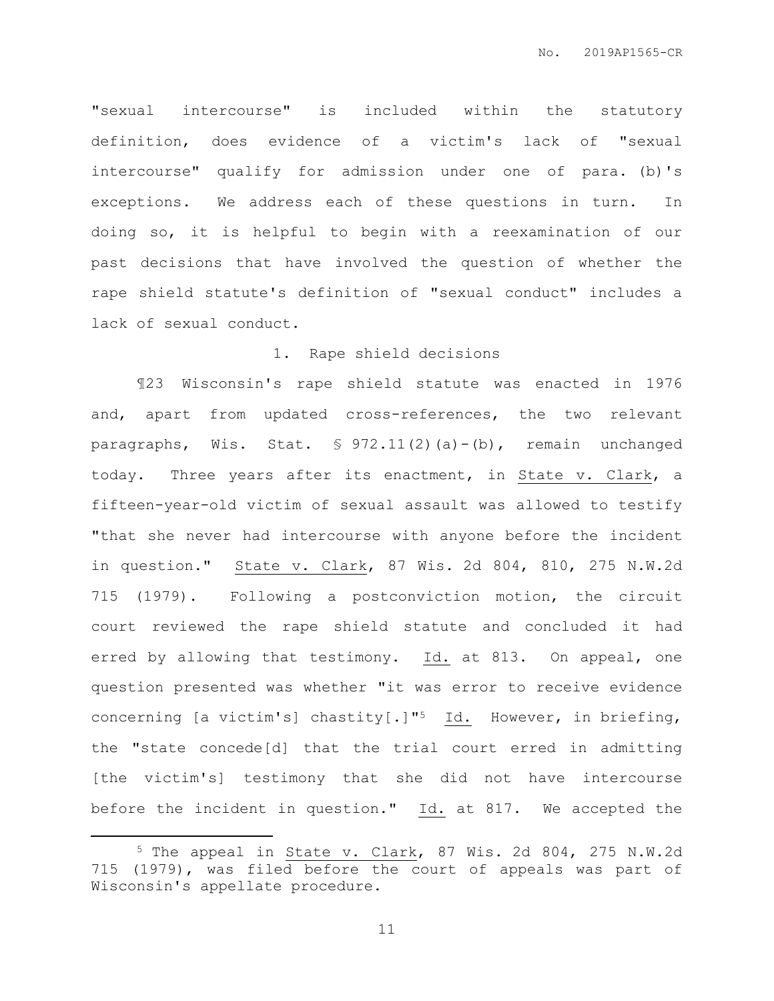"sexual intercourse" is included within the statutory definition, does evidence of a victim's lack of "sexual intercourse" qualify for admission under one of para. (b)'s exceptions. We address each of these questions in turn. In doing so, it is helpful to begin with a reexamination of our past decisions that have involved the question of whether the rape shield statute's definition of "sexual conduct" includes a lack of sexual conduct.

# 1. Rape shield decisions

¶23 Wisconsin's rape shield statute was enacted in 1976 and, apart from updated cross-references, the two relevant paragraphs, Wis. Stat. § 972.11(2)(a)-(b), remain unchanged today. Three years after its enactment, in State v. Clark, a fifteen-year-old victim of sexual assault was allowed to testify "that she never had intercourse with anyone before the incident in question." State v. Clark, 87 Wis. 2d 804, 810, 275 N.W.2d 715 (1979). Following a postconviction motion, the circuit court reviewed the rape shield statute and concluded it had erred by allowing that testimony. Id. at 813. On appeal, one question presented was whether "it was error to receive evidence concerning [a victim's] chastity[.]"5 Id. However, in briefing, the "state concede[d] that the trial court erred in admitting [the victim's] testimony that she did not have intercourse before the incident in question." Id. at 817. We accepted the

 $\overline{a}$ 

<sup>5</sup> The appeal in State v. Clark, 87 Wis. 2d 804, 275 N.W.2d 715 (1979), was filed before the court of appeals was part of Wisconsin's appellate procedure.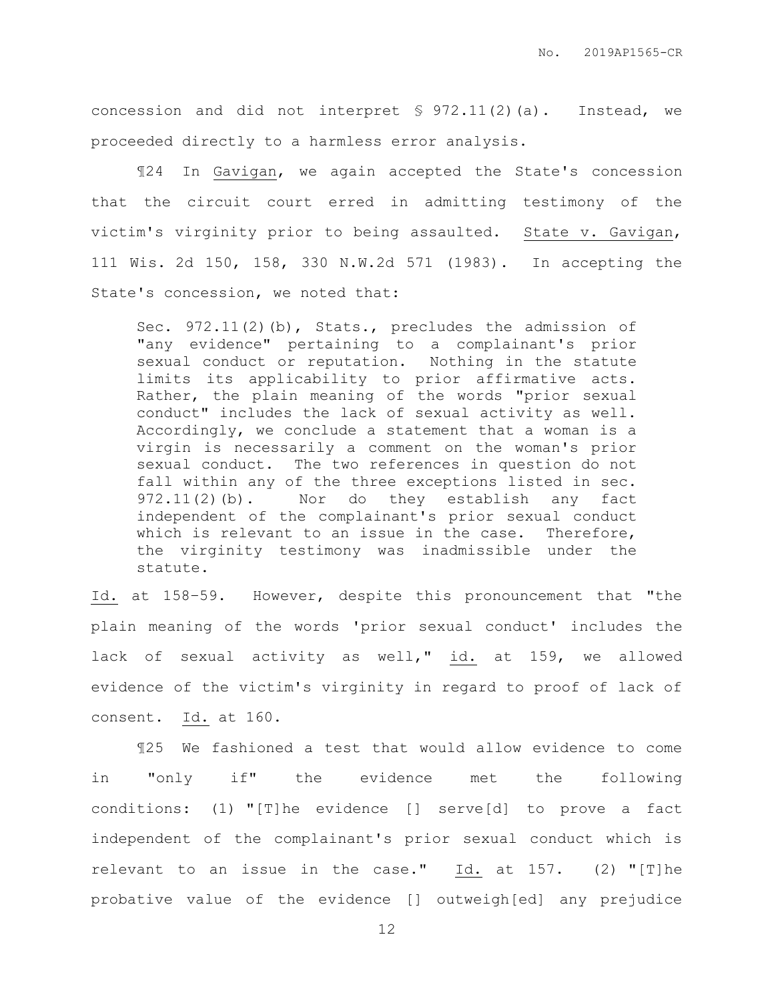concession and did not interpret § 972.11(2)(a). Instead, we proceeded directly to a harmless error analysis.

¶24 In Gavigan, we again accepted the State's concession that the circuit court erred in admitting testimony of the victim's virginity prior to being assaulted. State v. Gavigan, 111 Wis. 2d 150, 158, 330 N.W.2d 571 (1983). In accepting the State's concession, we noted that:

Sec. 972.11(2)(b), Stats., precludes the admission of "any evidence" pertaining to a complainant's prior sexual conduct or reputation. Nothing in the statute limits its applicability to prior affirmative acts. Rather, the plain meaning of the words "prior sexual conduct" includes the lack of sexual activity as well. Accordingly, we conclude a statement that a woman is a virgin is necessarily a comment on the woman's prior sexual conduct. The two references in question do not fall within any of the three exceptions listed in sec. 972.11(2)(b). Nor do they establish any fact independent of the complainant's prior sexual conduct which is relevant to an issue in the case. Therefore, the virginity testimony was inadmissible under the statute.

Id. at 158–59. However, despite this pronouncement that "the plain meaning of the words 'prior sexual conduct' includes the lack of sexual activity as well," id. at 159, we allowed evidence of the victim's virginity in regard to proof of lack of consent. Id. at 160.

¶25 We fashioned a test that would allow evidence to come in "only if" the evidence met the following conditions: (1) "[T]he evidence [] serve[d] to prove a fact independent of the complainant's prior sexual conduct which is relevant to an issue in the case." Id. at 157. (2) "[T]he probative value of the evidence [] outweigh[ed] any prejudice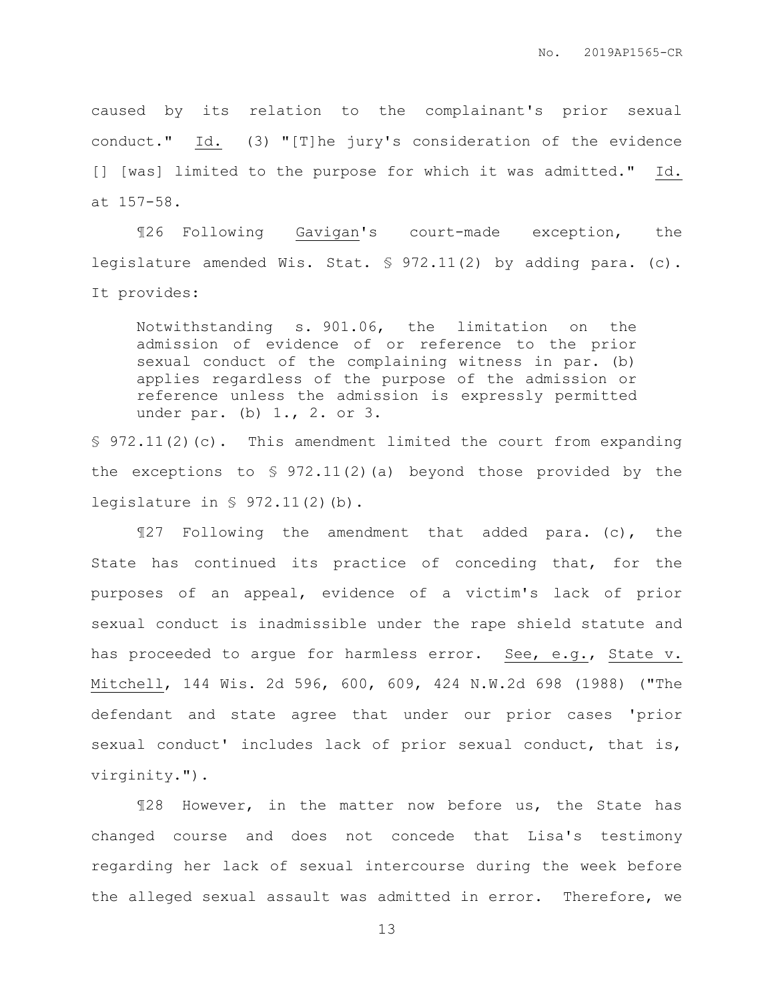caused by its relation to the complainant's prior sexual conduct." Id. (3) "[T]he jury's consideration of the evidence [] [was] limited to the purpose for which it was admitted." Id. at 157-58.

¶26 Following Gavigan's court-made exception, the legislature amended Wis. Stat. § 972.11(2) by adding para. (c). It provides:

Notwithstanding s. 901.06, the limitation on the admission of evidence of or reference to the prior sexual conduct of the complaining witness in par. (b) applies regardless of the purpose of the admission or reference unless the admission is expressly permitted under par. (b) 1., 2. or 3.

 $\S$  972.11(2)(c). This amendment limited the court from expanding the exceptions to  $\S 972.11(2)(a)$  beyond those provided by the legislature in § 972.11(2)(b).

¶27 Following the amendment that added para. (c), the State has continued its practice of conceding that, for the purposes of an appeal, evidence of a victim's lack of prior sexual conduct is inadmissible under the rape shield statute and has proceeded to arque for harmless error. See, e.g., State v. Mitchell, 144 Wis. 2d 596, 600, 609, 424 N.W.2d 698 (1988) ("The defendant and state agree that under our prior cases 'prior sexual conduct' includes lack of prior sexual conduct, that is, virginity.").

¶28 However, in the matter now before us, the State has changed course and does not concede that Lisa's testimony regarding her lack of sexual intercourse during the week before the alleged sexual assault was admitted in error. Therefore, we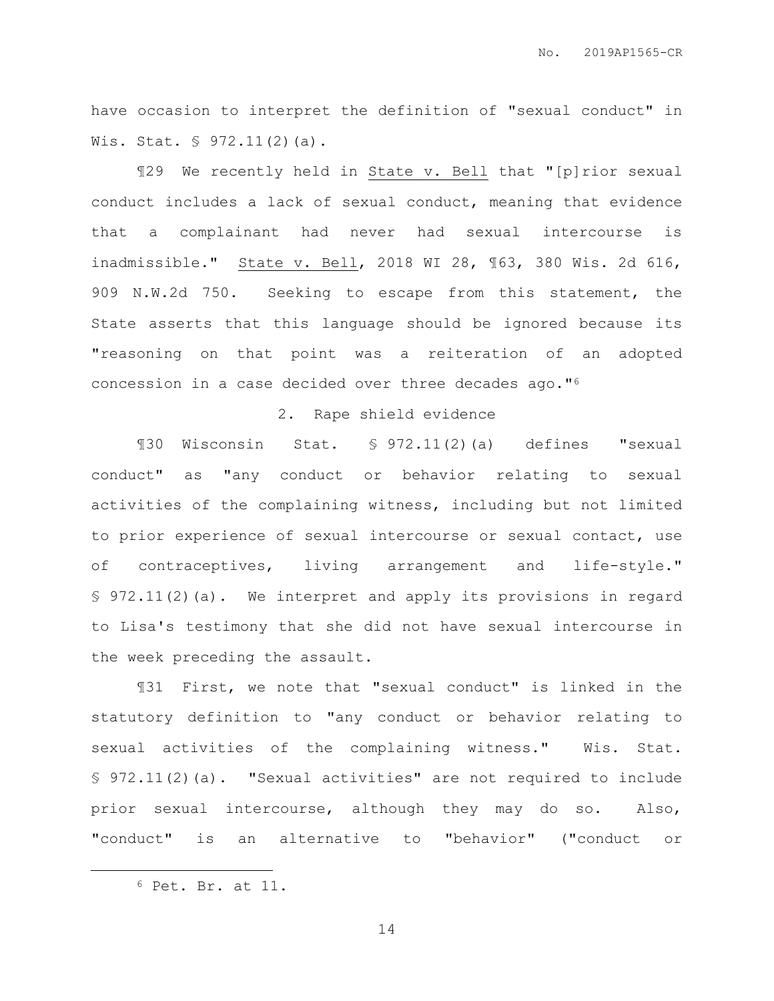have occasion to interpret the definition of "sexual conduct" in Wis. Stat. § 972.11(2)(a).

¶29 We recently held in State v. Bell that "[p]rior sexual conduct includes a lack of sexual conduct, meaning that evidence that a complainant had never had sexual intercourse is inadmissible." State v. Bell, 2018 WI 28, ¶63, 380 Wis. 2d 616, 909 N.W.2d 750. Seeking to escape from this statement, the State asserts that this language should be ignored because its "reasoning on that point was a reiteration of an adopted concession in a case decided over three decades ago."<sup>6</sup>

#### 2. Rape shield evidence

¶30 Wisconsin Stat. § 972.11(2)(a) defines "sexual conduct" as "any conduct or behavior relating to sexual activities of the complaining witness, including but not limited to prior experience of sexual intercourse or sexual contact, use of contraceptives, living arrangement and life-style." § 972.11(2)(a). We interpret and apply its provisions in regard to Lisa's testimony that she did not have sexual intercourse in the week preceding the assault.

¶31 First, we note that "sexual conduct" is linked in the statutory definition to "any conduct or behavior relating to sexual activities of the complaining witness." Wis. Stat. § 972.11(2)(a). "Sexual activities" are not required to include prior sexual intercourse, although they may do so. Also, "conduct" is an alternative to "behavior" ("conduct or

 $\overline{a}$ 

<sup>6</sup> Pet. Br. at 11.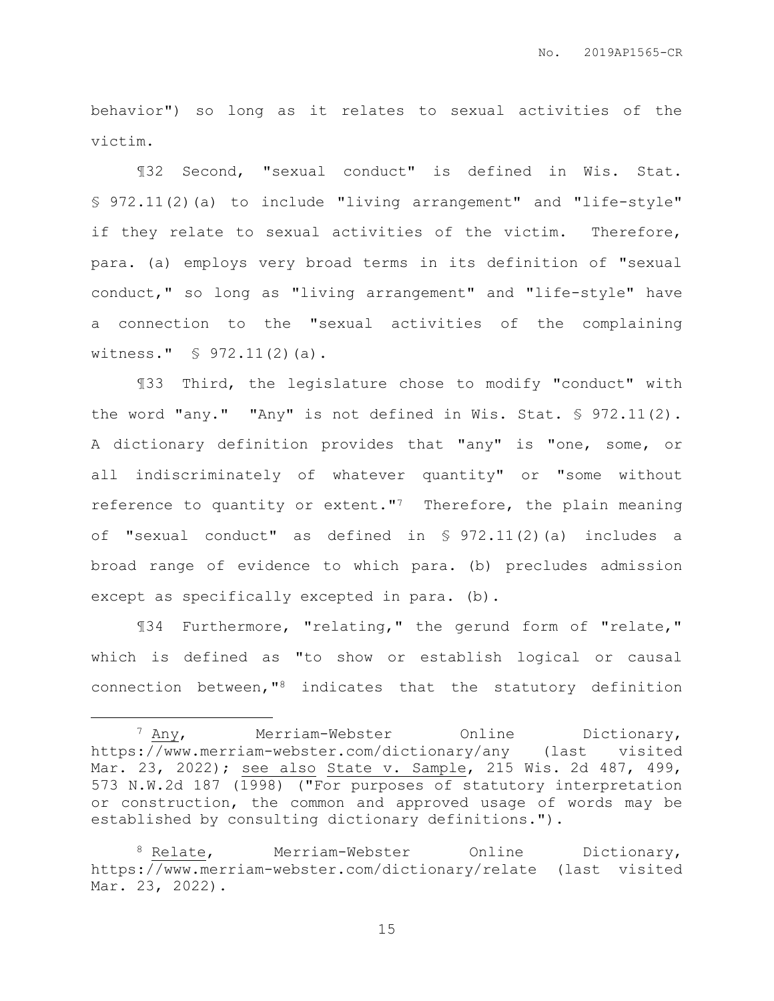behavior") so long as it relates to sexual activities of the victim.

¶32 Second, "sexual conduct" is defined in Wis. Stat. § 972.11(2)(a) to include "living arrangement" and "life-style" if they relate to sexual activities of the victim. Therefore, para. (a) employs very broad terms in its definition of "sexual conduct," so long as "living arrangement" and "life-style" have a connection to the "sexual activities of the complaining witness." § 972.11(2)(a).

¶33 Third, the legislature chose to modify "conduct" with the word "any." "Any" is not defined in Wis. Stat. § 972.11(2). A dictionary definition provides that "any" is "one, some, or all indiscriminately of whatever quantity" or "some without reference to quantity or extent."<sup>7</sup> Therefore, the plain meaning of "sexual conduct" as defined in § 972.11(2)(a) includes a broad range of evidence to which para. (b) precludes admission except as specifically excepted in para. (b).

¶34 Furthermore, "relating," the gerund form of "relate," which is defined as "to show or establish logical or causal connection between,"<sup>8</sup> indicates that the statutory definition

 $\overline{a}$ 

<sup>&</sup>lt;sup>7</sup> Any, Merriam-Webster Online Dictionary, https://www.merriam-webster.com/dictionary/any (last visited Mar. 23, 2022); see also State v. Sample, 215 Wis. 2d 487, 499, 573 N.W.2d 187 (1998) ("For purposes of statutory interpretation or construction, the common and approved usage of words may be established by consulting dictionary definitions.").

<sup>8</sup> Relate, Merriam-Webster Online Dictionary, https://www.merriam-webster.com/dictionary/relate (last visited Mar. 23, 2022).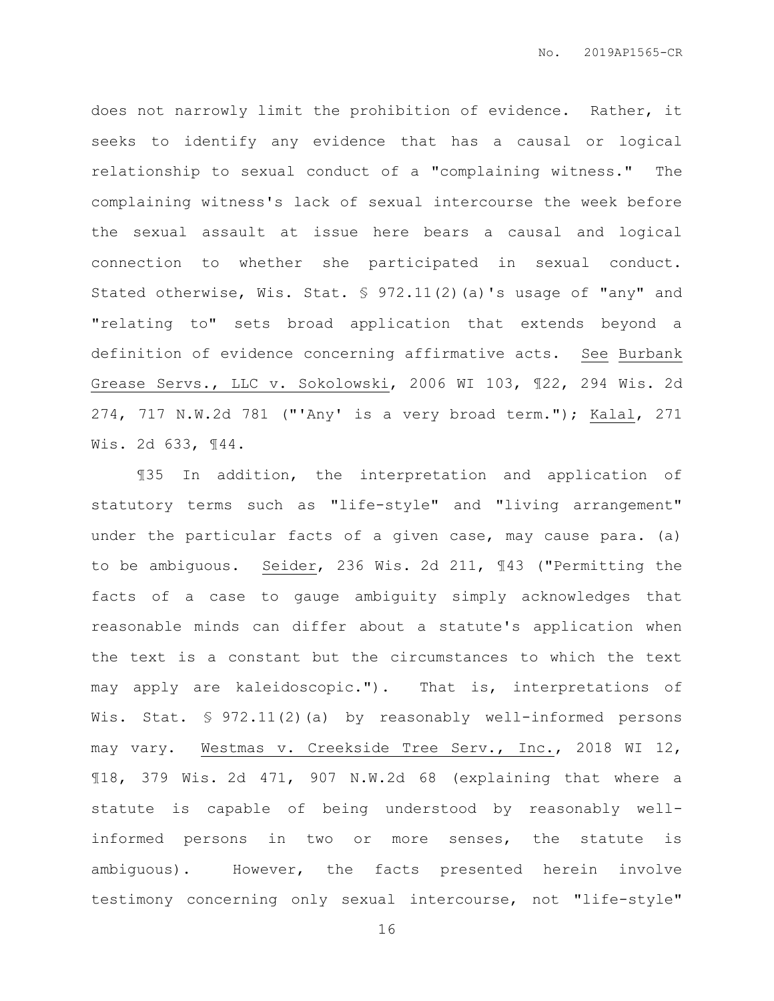does not narrowly limit the prohibition of evidence. Rather, it seeks to identify any evidence that has a causal or logical relationship to sexual conduct of a "complaining witness." The complaining witness's lack of sexual intercourse the week before the sexual assault at issue here bears a causal and logical connection to whether she participated in sexual conduct. Stated otherwise, Wis. Stat. § 972.11(2)(a)'s usage of "any" and "relating to" sets broad application that extends beyond a definition of evidence concerning affirmative acts. See Burbank Grease Servs., LLC v. Sokolowski, 2006 WI 103, ¶22, 294 Wis. 2d 274, 717 N.W.2d 781 ("'Any' is a very broad term."); Kalal, 271 Wis. 2d 633, ¶44.

¶35 In addition, the interpretation and application of statutory terms such as "life-style" and "living arrangement" under the particular facts of a given case, may cause para. (a) to be ambiguous. Seider, 236 Wis. 2d 211, ¶43 ("Permitting the facts of a case to gauge ambiguity simply acknowledges that reasonable minds can differ about a statute's application when the text is a constant but the circumstances to which the text may apply are kaleidoscopic."). That is, interpretations of Wis. Stat. § 972.11(2)(a) by reasonably well-informed persons may vary. Westmas v. Creekside Tree Serv., Inc., 2018 WI 12, ¶18, 379 Wis. 2d 471, 907 N.W.2d 68 (explaining that where a statute is capable of being understood by reasonably wellinformed persons in two or more senses, the statute is ambiguous). However, the facts presented herein involve testimony concerning only sexual intercourse, not "life-style"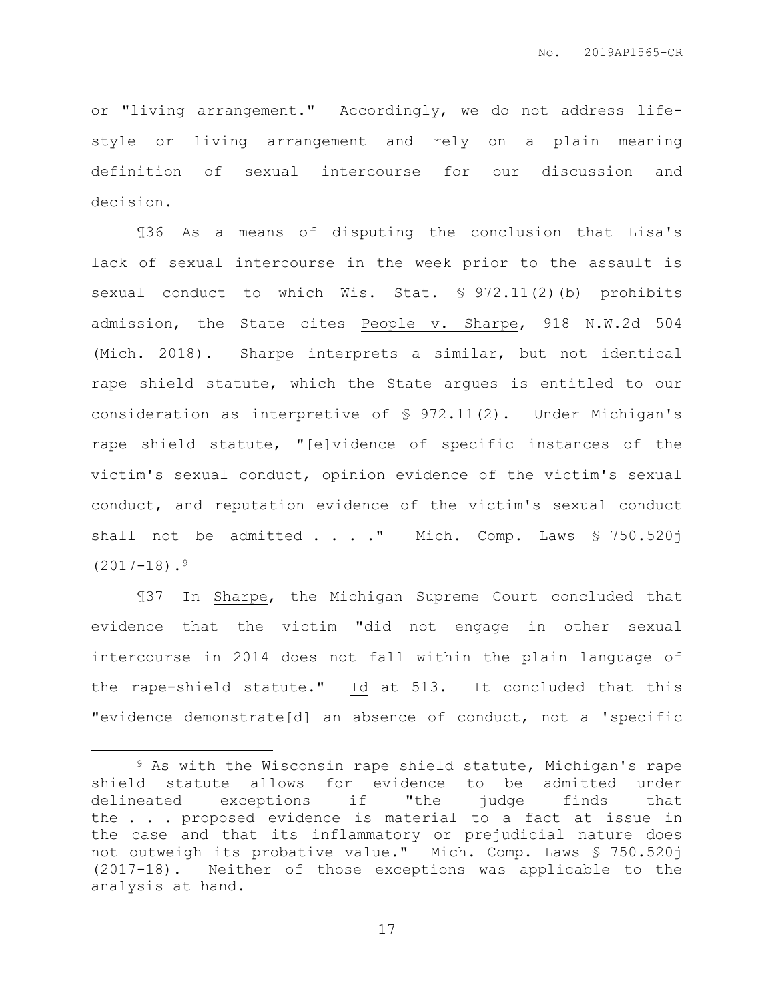or "living arrangement." Accordingly, we do not address lifestyle or living arrangement and rely on a plain meaning definition of sexual intercourse for our discussion and decision.

¶36 As a means of disputing the conclusion that Lisa's lack of sexual intercourse in the week prior to the assault is sexual conduct to which Wis. Stat. § 972.11(2)(b) prohibits admission, the State cites People v. Sharpe, 918 N.W.2d 504 (Mich. 2018). Sharpe interprets a similar, but not identical rape shield statute, which the State argues is entitled to our consideration as interpretive of § 972.11(2). Under Michigan's rape shield statute, "[e]vidence of specific instances of the victim's sexual conduct, opinion evidence of the victim's sexual conduct, and reputation evidence of the victim's sexual conduct shall not be admitted  $\ldots$  ." Mich. Comp. Laws § 750.520j  $(2017-18)$ .<sup>9</sup>

¶37 In Sharpe, the Michigan Supreme Court concluded that evidence that the victim "did not engage in other sexual intercourse in 2014 does not fall within the plain language of the rape-shield statute." Id at 513. It concluded that this "evidence demonstrate[d] an absence of conduct, not a 'specific

 $\overline{a}$ 

<sup>9</sup> As with the Wisconsin rape shield statute, Michigan's rape shield statute allows for evidence to be admitted under delineated exceptions if "the judge finds that the . . . proposed evidence is material to a fact at issue in the case and that its inflammatory or prejudicial nature does not outweigh its probative value." Mich. Comp. Laws § 750.520j (2017-18). Neither of those exceptions was applicable to the analysis at hand.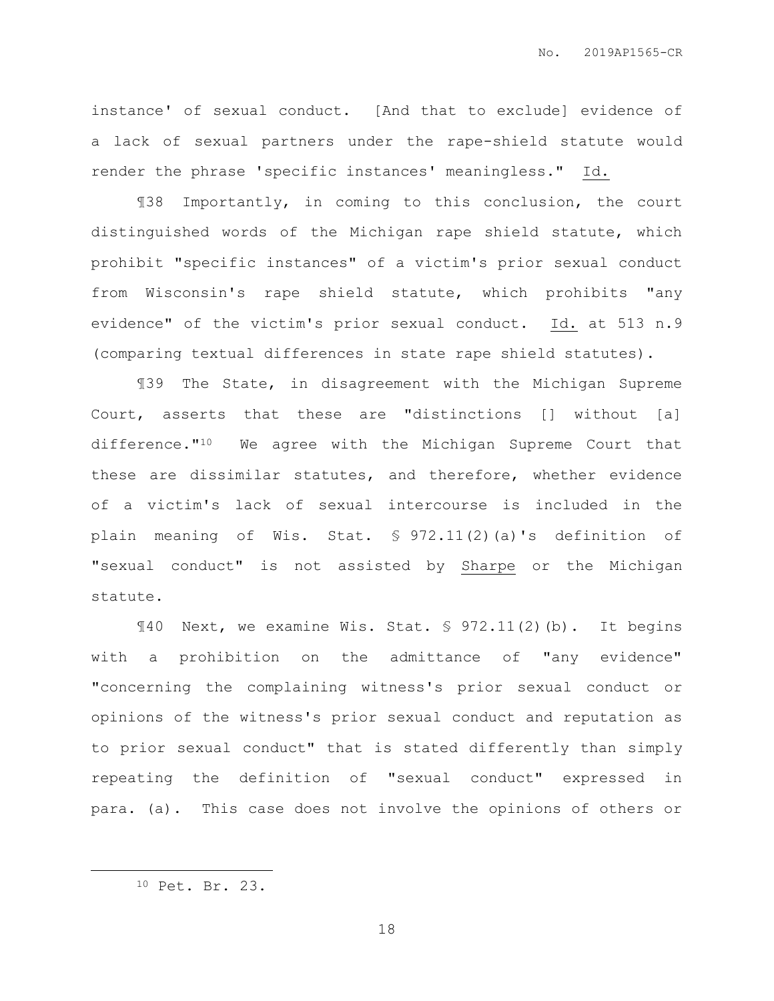instance' of sexual conduct. [And that to exclude] evidence of a lack of sexual partners under the rape-shield statute would render the phrase 'specific instances' meaningless." Id.

¶38 Importantly, in coming to this conclusion, the court distinguished words of the Michigan rape shield statute, which prohibit "specific instances" of a victim's prior sexual conduct from Wisconsin's rape shield statute, which prohibits "any evidence" of the victim's prior sexual conduct. Id. at 513 n.9 (comparing textual differences in state rape shield statutes).

¶39 The State, in disagreement with the Michigan Supreme Court, asserts that these are "distinctions [] without [a] difference."10 We agree with the Michigan Supreme Court that these are dissimilar statutes, and therefore, whether evidence of a victim's lack of sexual intercourse is included in the plain meaning of Wis. Stat. § 972.11(2)(a)'s definition of "sexual conduct" is not assisted by Sharpe or the Michigan statute.

¶40 Next, we examine Wis. Stat. § 972.11(2)(b). It begins with a prohibition on the admittance of "any evidence" "concerning the complaining witness's prior sexual conduct or opinions of the witness's prior sexual conduct and reputation as to prior sexual conduct" that is stated differently than simply repeating the definition of "sexual conduct" expressed in para. (a). This case does not involve the opinions of others or

 $\overline{a}$ 

<sup>10</sup> Pet. Br. 23.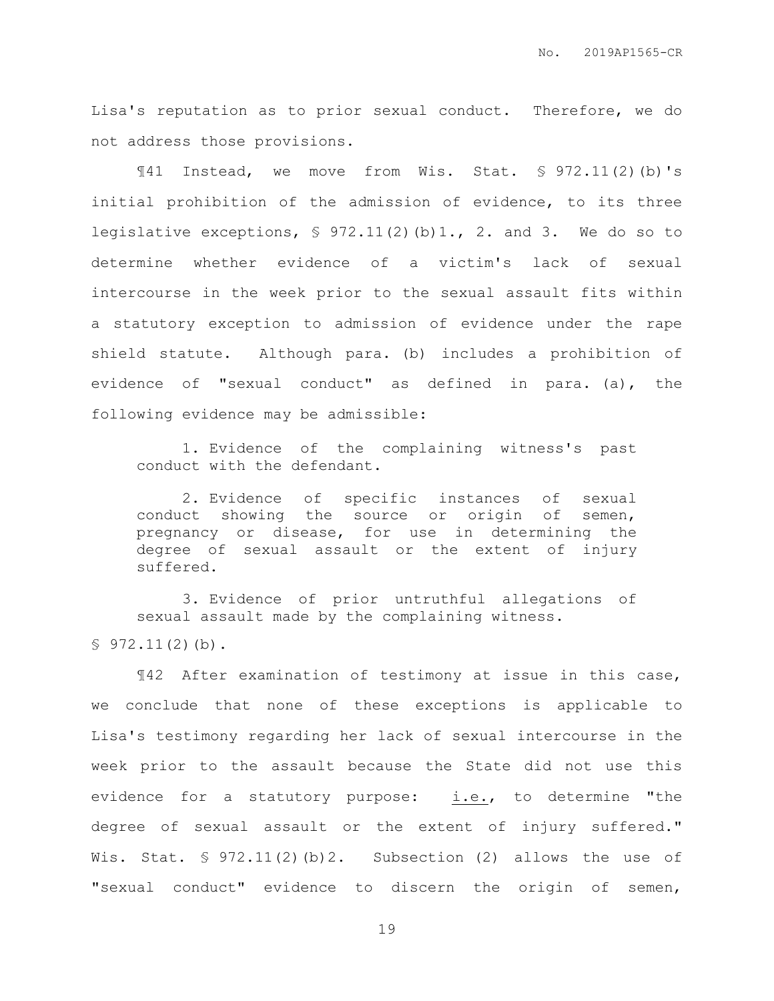Lisa's reputation as to prior sexual conduct. Therefore, we do not address those provisions.

¶41 Instead, we move from Wis. Stat. § 972.11(2)(b)'s initial prohibition of the admission of evidence, to its three legislative exceptions,  $\frac{1}{2}$  972.11(2)(b)1., 2. and 3. We do so to determine whether evidence of a victim's lack of sexual intercourse in the week prior to the sexual assault fits within a statutory exception to admission of evidence under the rape shield statute. Although para. (b) includes a prohibition of evidence of "sexual conduct" as defined in para. (a), the following evidence may be admissible:

1. Evidence of the complaining witness's past conduct with the defendant.

2. Evidence of specific instances of sexual conduct showing the source or origin of semen, pregnancy or disease, for use in determining the degree of sexual assault or the extent of injury suffered.

3. Evidence of prior untruthful allegations of sexual assault made by the complaining witness.

 $$972.11(2)(b).$ 

¶42 After examination of testimony at issue in this case, we conclude that none of these exceptions is applicable to Lisa's testimony regarding her lack of sexual intercourse in the week prior to the assault because the State did not use this evidence for a statutory purpose: i.e., to determine "the degree of sexual assault or the extent of injury suffered." Wis. Stat.  $\S 972.11(2)(b)2$ . Subsection (2) allows the use of "sexual conduct" evidence to discern the origin of semen,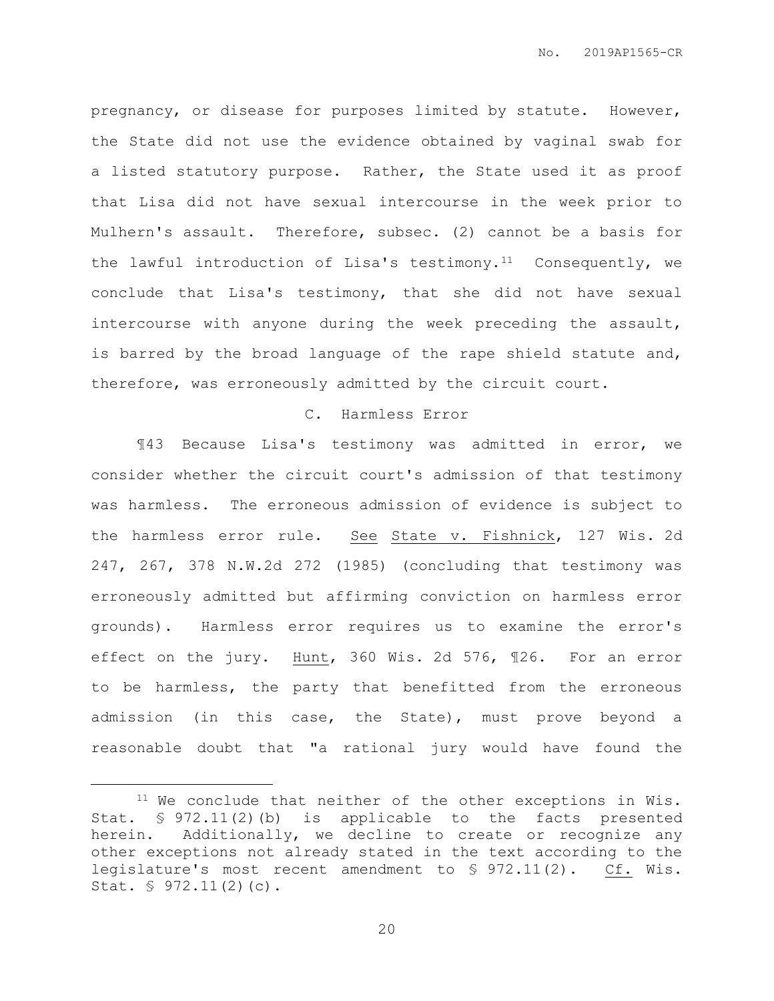pregnancy, or disease for purposes limited by statute. However, the State did not use the evidence obtained by vaginal swab for a listed statutory purpose. Rather, the State used it as proof that Lisa did not have sexual intercourse in the week prior to Mulhern's assault. Therefore, subsec. (2) cannot be a basis for the lawful introduction of Lisa's testimony.<sup>11</sup> Consequently, we conclude that Lisa's testimony, that she did not have sexual intercourse with anyone during the week preceding the assault, is barred by the broad language of the rape shield statute and, therefore, was erroneously admitted by the circuit court.

#### C. Harmless Error

¶43 Because Lisa's testimony was admitted in error, we consider whether the circuit court's admission of that testimony was harmless. The erroneous admission of evidence is subject to the harmless error rule. See State v. Fishnick, 127 Wis. 2d 247, 267, 378 N.W.2d 272 (1985) (concluding that testimony was erroneously admitted but affirming conviction on harmless error grounds). Harmless error requires us to examine the error's effect on the jury. Hunt, 360 Wis. 2d 576, ¶26. For an error to be harmless, the party that benefitted from the erroneous admission (in this case, the State), must prove beyond a reasonable doubt that "a rational jury would have found the

 $\overline{a}$ 

<sup>11</sup> We conclude that neither of the other exceptions in Wis. Stat. § 972.11(2)(b) is applicable to the facts presented herein. Additionally, we decline to create or recognize any other exceptions not already stated in the text according to the legislature's most recent amendment to § 972.11(2). Cf. Wis. Stat. § 972.11(2)(c).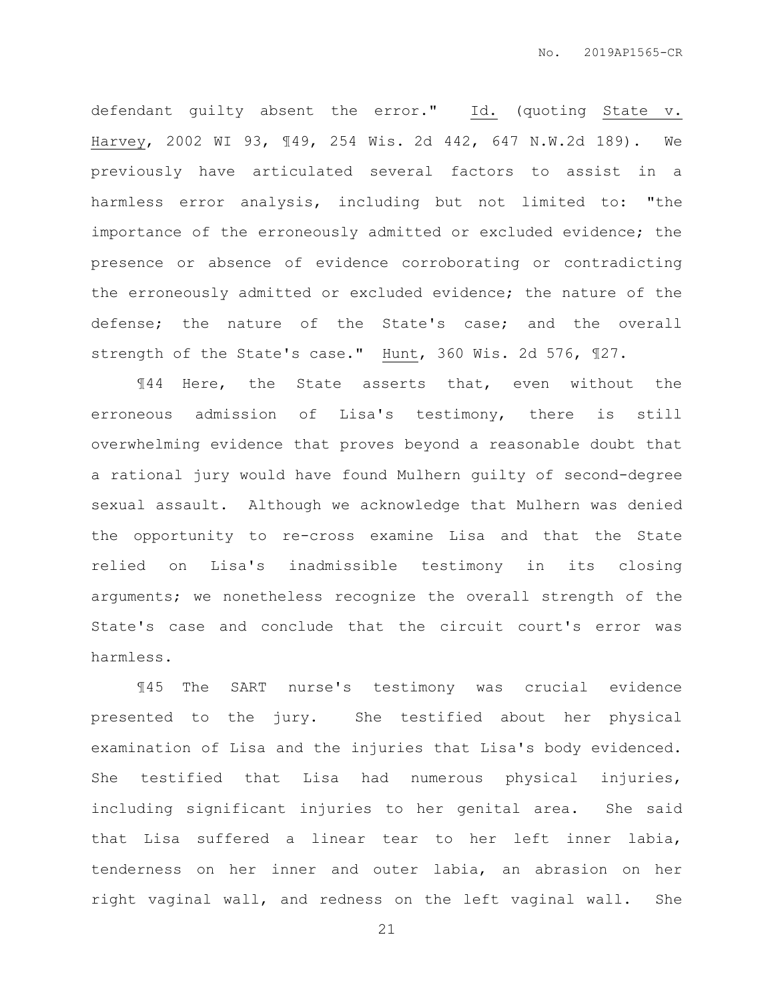defendant guilty absent the error." Id. (quoting State v. Harvey, 2002 WI 93, ¶49, 254 Wis. 2d 442, 647 N.W.2d 189). We previously have articulated several factors to assist in a harmless error analysis, including but not limited to: "the importance of the erroneously admitted or excluded evidence; the presence or absence of evidence corroborating or contradicting the erroneously admitted or excluded evidence; the nature of the defense; the nature of the State's case; and the overall strength of the State's case." Hunt, 360 Wis. 2d 576, ¶27.

¶44 Here, the State asserts that, even without the erroneous admission of Lisa's testimony, there is still overwhelming evidence that proves beyond a reasonable doubt that a rational jury would have found Mulhern guilty of second-degree sexual assault. Although we acknowledge that Mulhern was denied the opportunity to re-cross examine Lisa and that the State relied on Lisa's inadmissible testimony in its closing arguments; we nonetheless recognize the overall strength of the State's case and conclude that the circuit court's error was harmless.

¶45 The SART nurse's testimony was crucial evidence presented to the jury. She testified about her physical examination of Lisa and the injuries that Lisa's body evidenced. She testified that Lisa had numerous physical injuries, including significant injuries to her genital area. She said that Lisa suffered a linear tear to her left inner labia, tenderness on her inner and outer labia, an abrasion on her right vaginal wall, and redness on the left vaginal wall. She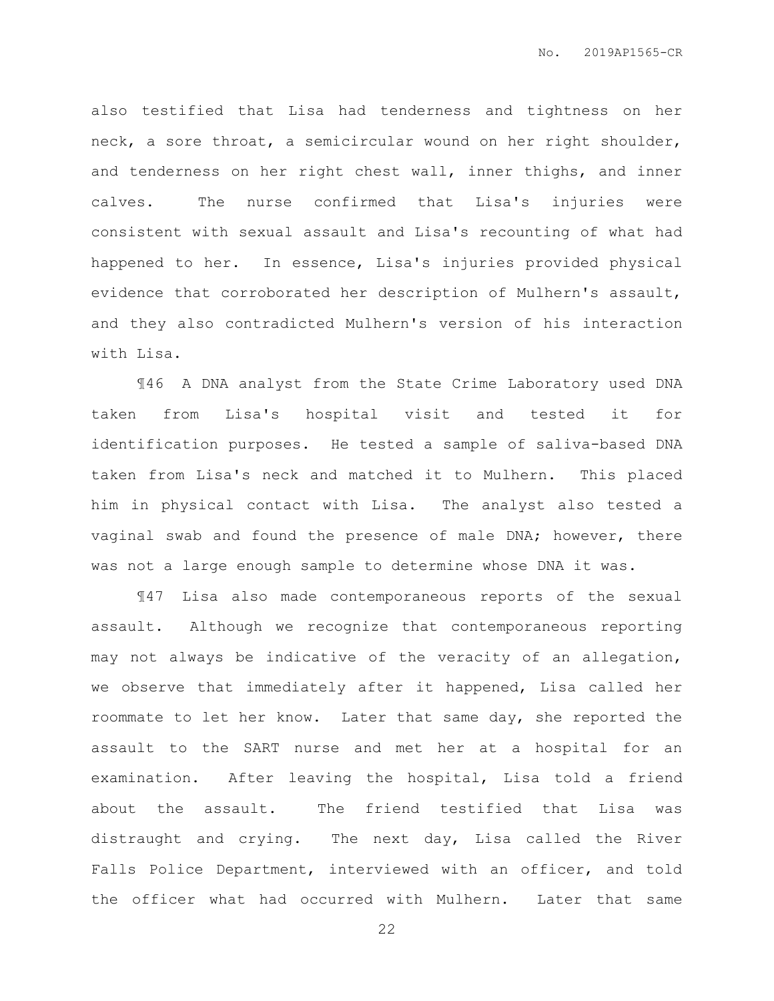also testified that Lisa had tenderness and tightness on her neck, a sore throat, a semicircular wound on her right shoulder, and tenderness on her right chest wall, inner thighs, and inner calves. The nurse confirmed that Lisa's injuries were consistent with sexual assault and Lisa's recounting of what had happened to her. In essence, Lisa's injuries provided physical evidence that corroborated her description of Mulhern's assault, and they also contradicted Mulhern's version of his interaction with Lisa.

¶46 A DNA analyst from the State Crime Laboratory used DNA taken from Lisa's hospital visit and tested it for identification purposes. He tested a sample of saliva-based DNA taken from Lisa's neck and matched it to Mulhern. This placed him in physical contact with Lisa. The analyst also tested a vaginal swab and found the presence of male DNA; however, there was not a large enough sample to determine whose DNA it was.

¶47 Lisa also made contemporaneous reports of the sexual assault. Although we recognize that contemporaneous reporting may not always be indicative of the veracity of an allegation, we observe that immediately after it happened, Lisa called her roommate to let her know. Later that same day, she reported the assault to the SART nurse and met her at a hospital for an examination. After leaving the hospital, Lisa told a friend about the assault. The friend testified that Lisa was distraught and crying. The next day, Lisa called the River Falls Police Department, interviewed with an officer, and told the officer what had occurred with Mulhern. Later that same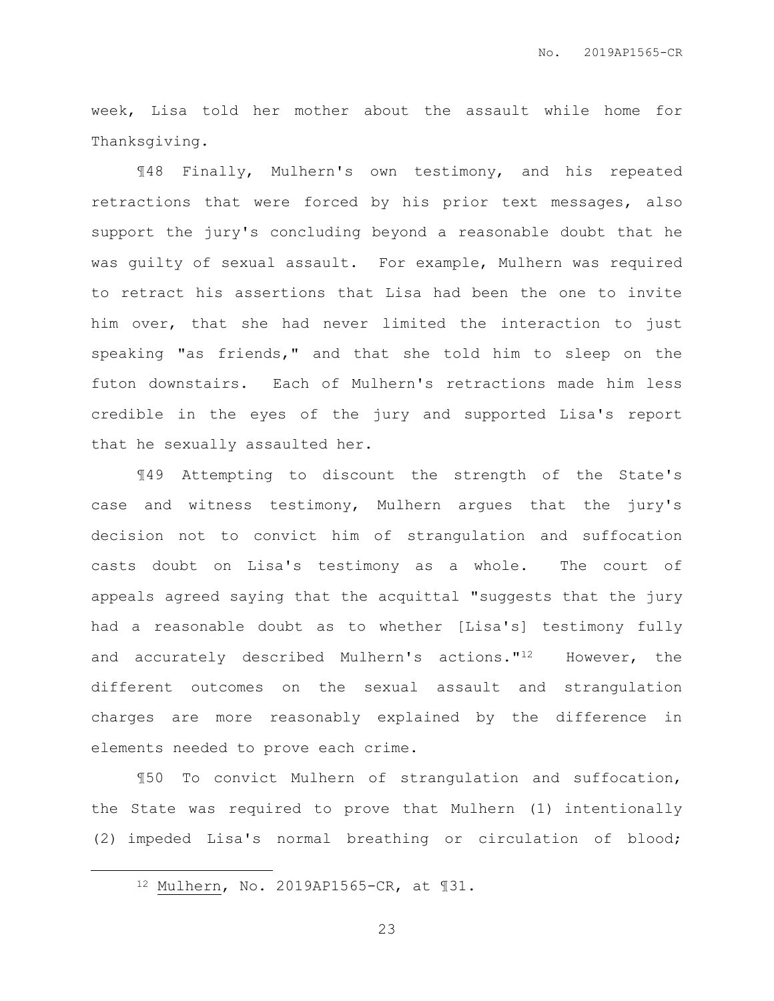week, Lisa told her mother about the assault while home for Thanksgiving.

¶48 Finally, Mulhern's own testimony, and his repeated retractions that were forced by his prior text messages, also support the jury's concluding beyond a reasonable doubt that he was guilty of sexual assault. For example, Mulhern was required to retract his assertions that Lisa had been the one to invite him over, that she had never limited the interaction to just speaking "as friends," and that she told him to sleep on the futon downstairs. Each of Mulhern's retractions made him less credible in the eyes of the jury and supported Lisa's report that he sexually assaulted her.

¶49 Attempting to discount the strength of the State's case and witness testimony, Mulhern argues that the jury's decision not to convict him of strangulation and suffocation casts doubt on Lisa's testimony as a whole. The court of appeals agreed saying that the acquittal "suggests that the jury had a reasonable doubt as to whether [Lisa's] testimony fully and accurately described Mulhern's actions."12 However, the different outcomes on the sexual assault and strangulation charges are more reasonably explained by the difference in elements needed to prove each crime.

¶50 To convict Mulhern of strangulation and suffocation, the State was required to prove that Mulhern (1) intentionally (2) impeded Lisa's normal breathing or circulation of blood;

 $\overline{a}$ 

<sup>12</sup> Mulhern, No. 2019AP1565-CR, at ¶31.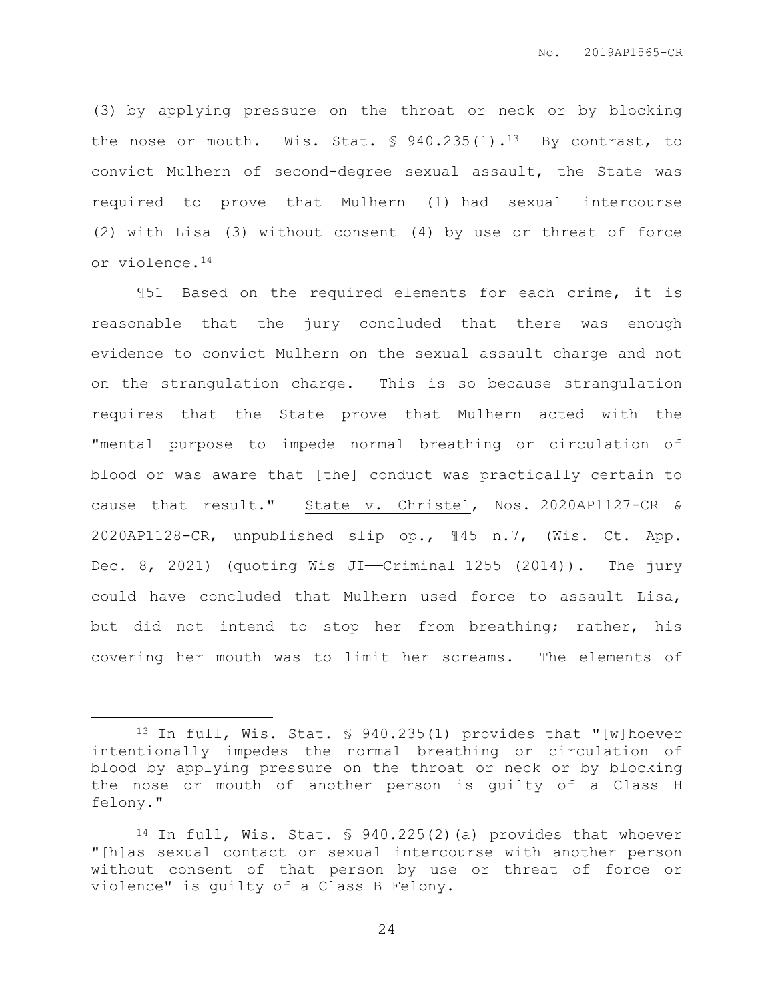(3) by applying pressure on the throat or neck or by blocking the nose or mouth. Wis. Stat.  $\frac{1}{2}$  940.235(1).<sup>13</sup> By contrast, to convict Mulhern of second-degree sexual assault, the State was required to prove that Mulhern (1) had sexual intercourse (2) with Lisa (3) without consent (4) by use or threat of force or violence.<sup>14</sup>

¶51 Based on the required elements for each crime, it is reasonable that the jury concluded that there was enough evidence to convict Mulhern on the sexual assault charge and not on the strangulation charge. This is so because strangulation requires that the State prove that Mulhern acted with the "mental purpose to impede normal breathing or circulation of blood or was aware that [the] conduct was practically certain to cause that result." State v. Christel, Nos. 2020AP1127-CR & 2020AP1128-CR, unpublished slip op., ¶45 n.7, (Wis. Ct. App. Dec. 8, 2021) (quoting Wis JI—Criminal 1255 (2014)). The jury could have concluded that Mulhern used force to assault Lisa, but did not intend to stop her from breathing; rather, his covering her mouth was to limit her screams. The elements of

 $\overline{a}$ 

<sup>13</sup> In full, Wis. Stat. § 940.235(1) provides that "[w]hoever intentionally impedes the normal breathing or circulation of blood by applying pressure on the throat or neck or by blocking the nose or mouth of another person is guilty of a Class H felony."

<sup>14</sup> In full, Wis. Stat. § 940.225(2)(a) provides that whoever "[h]as sexual contact or sexual intercourse with another person without consent of that person by use or threat of force or violence" is guilty of a Class B Felony.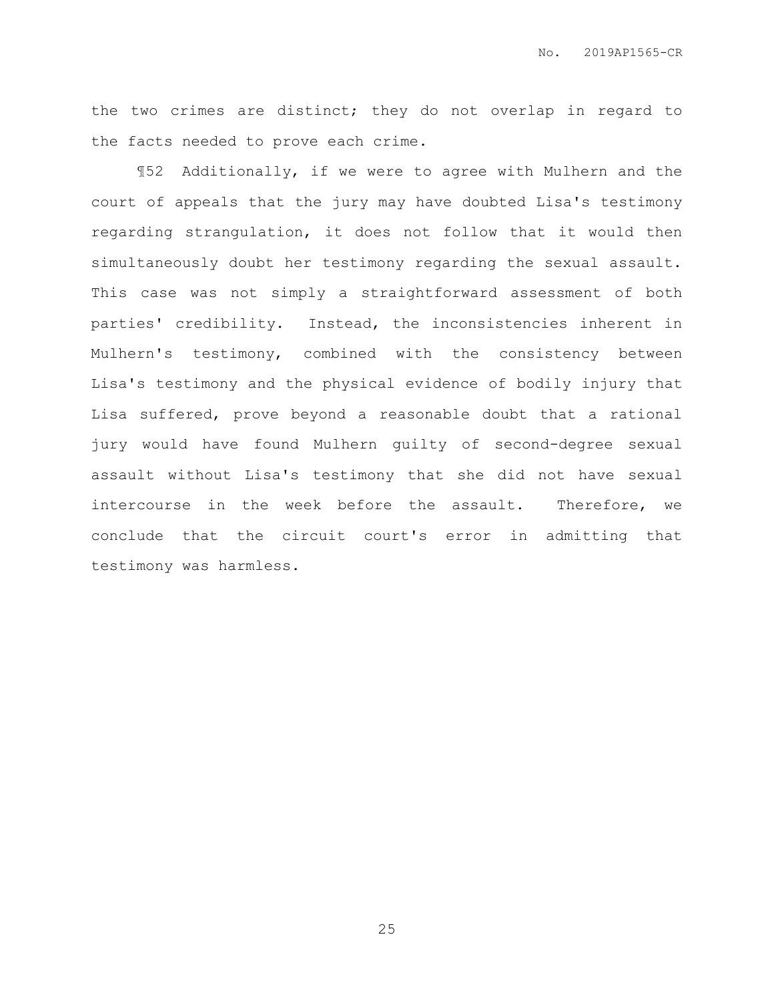the two crimes are distinct; they do not overlap in regard to the facts needed to prove each crime.

¶52 Additionally, if we were to agree with Mulhern and the court of appeals that the jury may have doubted Lisa's testimony regarding strangulation, it does not follow that it would then simultaneously doubt her testimony regarding the sexual assault. This case was not simply a straightforward assessment of both parties' credibility. Instead, the inconsistencies inherent in Mulhern's testimony, combined with the consistency between Lisa's testimony and the physical evidence of bodily injury that Lisa suffered, prove beyond a reasonable doubt that a rational jury would have found Mulhern guilty of second-degree sexual assault without Lisa's testimony that she did not have sexual intercourse in the week before the assault. Therefore, we conclude that the circuit court's error in admitting that testimony was harmless.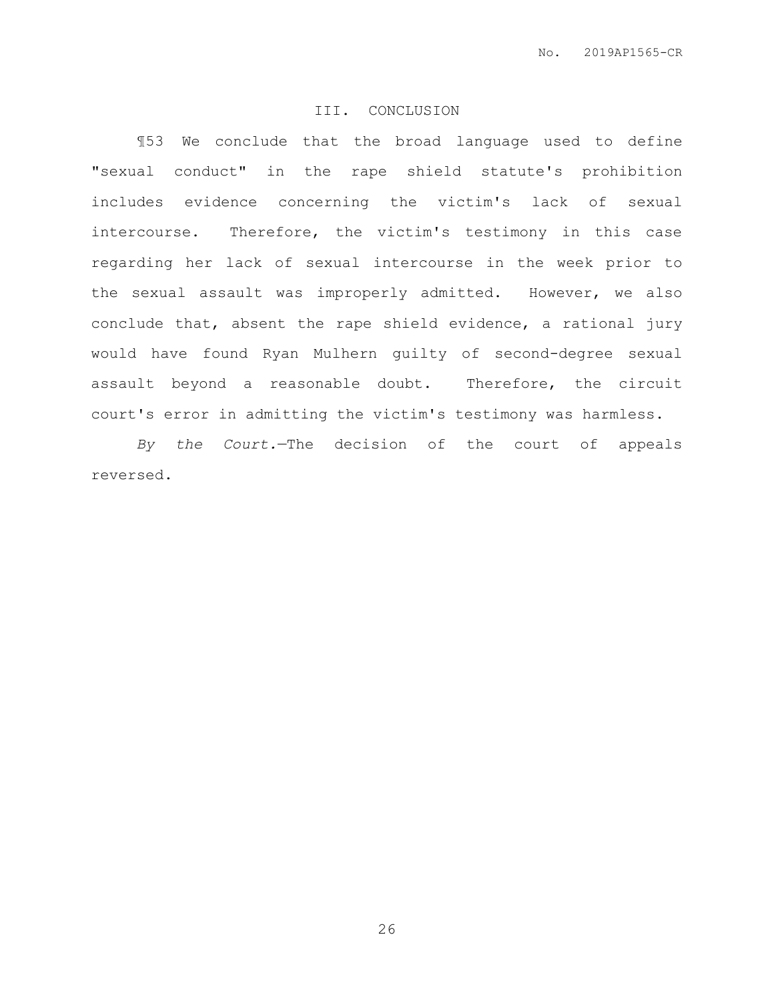# III. CONCLUSION

¶53 We conclude that the broad language used to define "sexual conduct" in the rape shield statute's prohibition includes evidence concerning the victim's lack of sexual intercourse. Therefore, the victim's testimony in this case regarding her lack of sexual intercourse in the week prior to the sexual assault was improperly admitted. However, we also conclude that, absent the rape shield evidence, a rational jury would have found Ryan Mulhern guilty of second-degree sexual assault beyond a reasonable doubt. Therefore, the circuit court's error in admitting the victim's testimony was harmless.

*By the Court.*—The decision of the court of appeals reversed.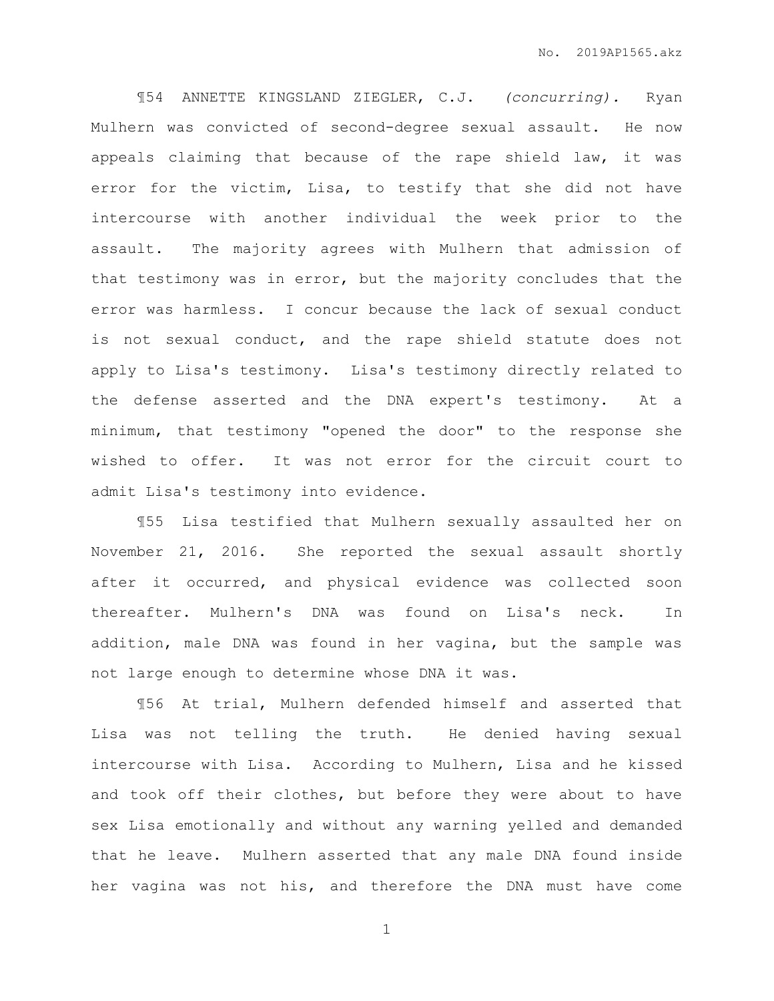¶54 ANNETTE KINGSLAND ZIEGLER, C.J. *(concurring).* Ryan Mulhern was convicted of second-degree sexual assault. He now appeals claiming that because of the rape shield law, it was error for the victim, Lisa, to testify that she did not have intercourse with another individual the week prior to the assault. The majority agrees with Mulhern that admission of that testimony was in error, but the majority concludes that the error was harmless. I concur because the lack of sexual conduct is not sexual conduct, and the rape shield statute does not apply to Lisa's testimony. Lisa's testimony directly related to the defense asserted and the DNA expert's testimony. At a minimum, that testimony "opened the door" to the response she wished to offer. It was not error for the circuit court to admit Lisa's testimony into evidence.

¶55 Lisa testified that Mulhern sexually assaulted her on November 21, 2016. She reported the sexual assault shortly after it occurred, and physical evidence was collected soon thereafter. Mulhern's DNA was found on Lisa's neck. In addition, male DNA was found in her vagina, but the sample was not large enough to determine whose DNA it was.

¶56 At trial, Mulhern defended himself and asserted that Lisa was not telling the truth. He denied having sexual intercourse with Lisa. According to Mulhern, Lisa and he kissed and took off their clothes, but before they were about to have sex Lisa emotionally and without any warning yelled and demanded that he leave. Mulhern asserted that any male DNA found inside her vagina was not his, and therefore the DNA must have come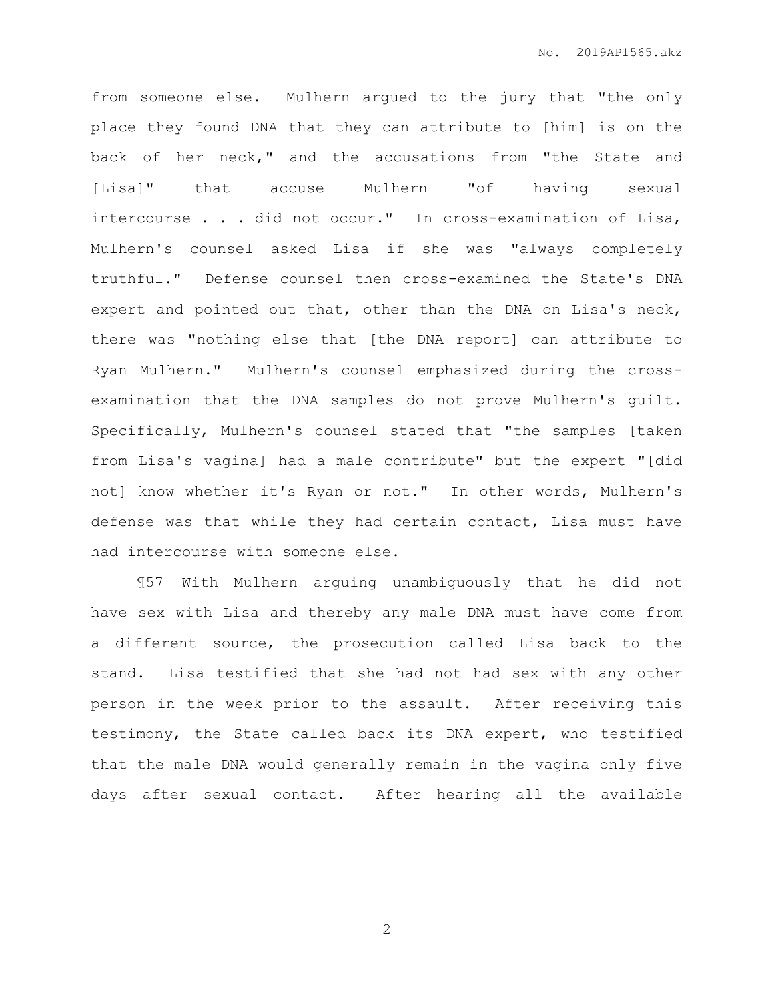from someone else. Mulhern argued to the jury that "the only place they found DNA that they can attribute to [him] is on the back of her neck," and the accusations from "the State and [Lisa]" that accuse Mulhern "of having sexual intercourse . . . did not occur." In cross-examination of Lisa, Mulhern's counsel asked Lisa if she was "always completely truthful." Defense counsel then cross-examined the State's DNA expert and pointed out that, other than the DNA on Lisa's neck, there was "nothing else that [the DNA report] can attribute to Ryan Mulhern." Mulhern's counsel emphasized during the crossexamination that the DNA samples do not prove Mulhern's guilt. Specifically, Mulhern's counsel stated that "the samples [taken from Lisa's vagina] had a male contribute" but the expert "[did not] know whether it's Ryan or not." In other words, Mulhern's defense was that while they had certain contact, Lisa must have had intercourse with someone else.

¶57 With Mulhern arguing unambiguously that he did not have sex with Lisa and thereby any male DNA must have come from a different source, the prosecution called Lisa back to the stand. Lisa testified that she had not had sex with any other person in the week prior to the assault. After receiving this testimony, the State called back its DNA expert, who testified that the male DNA would generally remain in the vagina only five days after sexual contact. After hearing all the available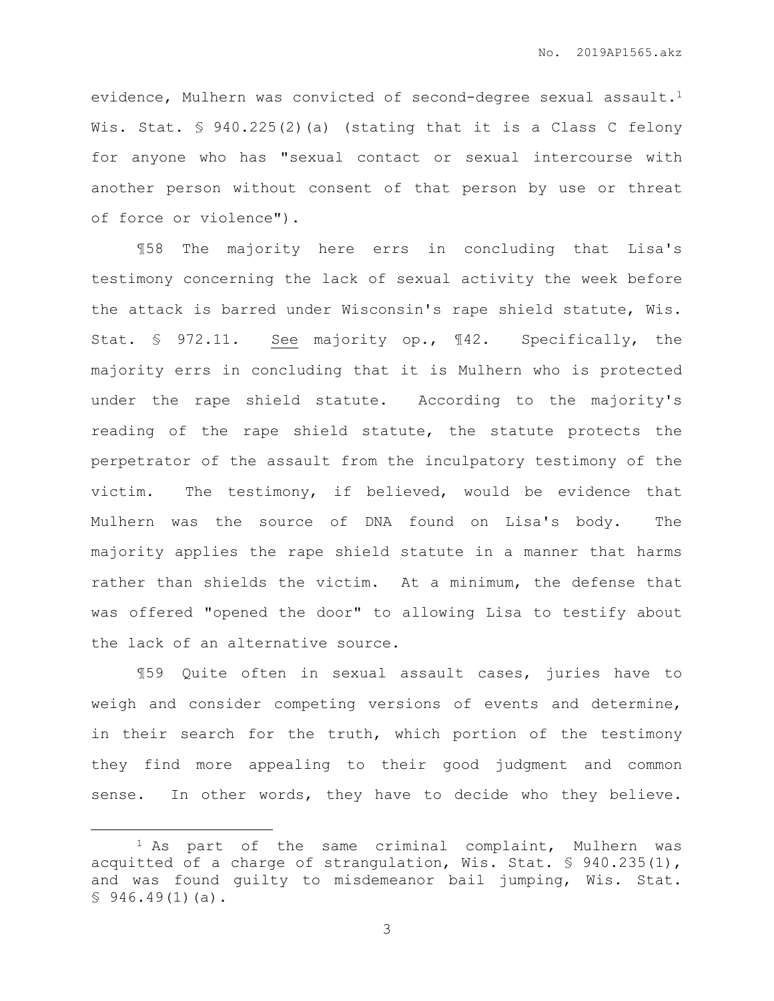evidence, Mulhern was convicted of second-degree sexual assault.<sup>1</sup> Wis. Stat. § 940.225(2)(a) (stating that it is a Class C felony for anyone who has "sexual contact or sexual intercourse with another person without consent of that person by use or threat of force or violence").

¶58 The majority here errs in concluding that Lisa's testimony concerning the lack of sexual activity the week before the attack is barred under Wisconsin's rape shield statute, Wis. Stat. § 972.11. See majority op., ¶42. Specifically, the majority errs in concluding that it is Mulhern who is protected under the rape shield statute. According to the majority's reading of the rape shield statute, the statute protects the perpetrator of the assault from the inculpatory testimony of the victim. The testimony, if believed, would be evidence that Mulhern was the source of DNA found on Lisa's body. The majority applies the rape shield statute in a manner that harms rather than shields the victim. At a minimum, the defense that was offered "opened the door" to allowing Lisa to testify about the lack of an alternative source.

¶59 Quite often in sexual assault cases, juries have to weigh and consider competing versions of events and determine, in their search for the truth, which portion of the testimony they find more appealing to their good judgment and common sense. In other words, they have to decide who they believe.

 $\overline{a}$ 

<sup>&</sup>lt;sup>1</sup> As part of the same criminal complaint, Mulhern was acquitted of a charge of strangulation, Wis. Stat. § 940.235(1), and was found guilty to misdemeanor bail jumping, Wis. Stat.  $$946.49(1)(a)$ .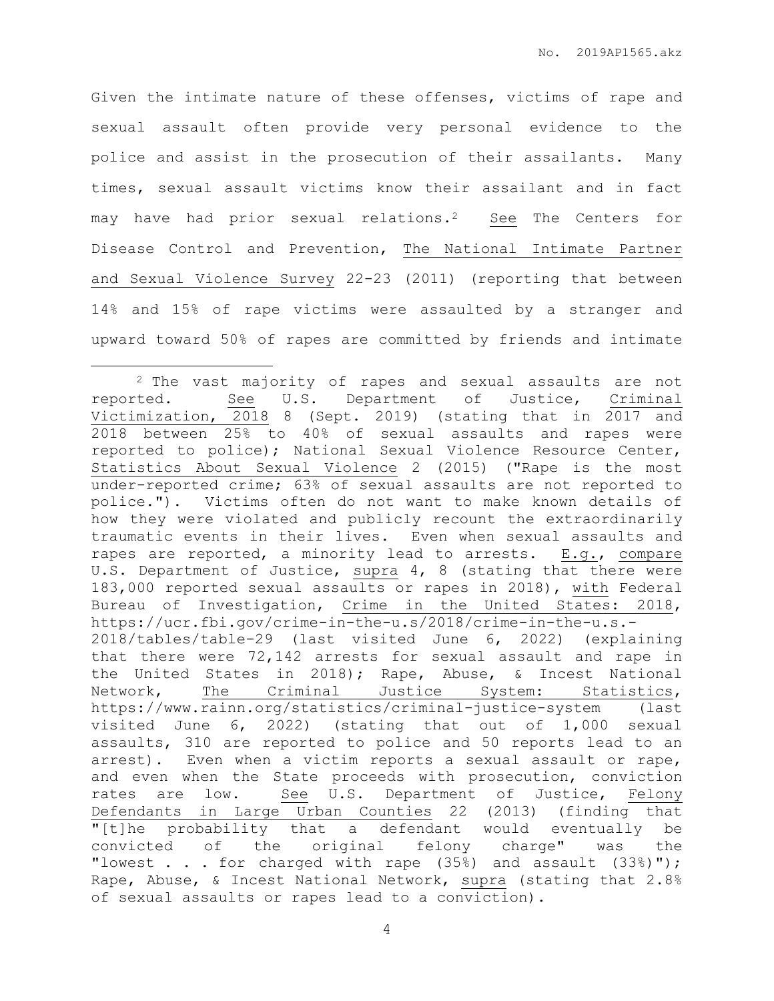Given the intimate nature of these offenses, victims of rape and sexual assault often provide very personal evidence to the police and assist in the prosecution of their assailants. Many times, sexual assault victims know their assailant and in fact may have had prior sexual relations.<sup>2</sup> See The Centers for Disease Control and Prevention, The National Intimate Partner and Sexual Violence Survey 22-23 (2011) (reporting that between 14% and 15% of rape victims were assaulted by a stranger and upward toward 50% of rapes are committed by friends and intimate

 $\overline{a}$ 

<sup>2</sup> The vast majority of rapes and sexual assaults are not reported. See U.S. Department of Justice, Criminal Victimization, 2018 8 (Sept. 2019) (stating that in 2017 and 2018 between 25% to 40% of sexual assaults and rapes were reported to police); National Sexual Violence Resource Center, Statistics About Sexual Violence 2 (2015) ("Rape is the most under-reported crime; 63% of sexual assaults are not reported to police."). Victims often do not want to make known details of how they were violated and publicly recount the extraordinarily traumatic events in their lives. Even when sexual assaults and rapes are reported, a minority lead to arrests. E.g., compare U.S. Department of Justice, supra 4, 8 (stating that there were 183,000 reported sexual assaults or rapes in 2018), with Federal Bureau of Investigation, Crime in the United States: 2018, https://ucr.fbi.gov/crime-in-the-u.s/2018/crime-in-the-u.s.- 2018/tables/table-29 (last visited June 6, 2022) (explaining that there were 72,142 arrests for sexual assault and rape in the United States in 2018); Rape, Abuse, & Incest National Network, The Criminal Justice System: Statistics, https://www.rainn.org/statistics/criminal-justice-system (last visited June 6, 2022) (stating that out of 1,000 sexual assaults, 310 are reported to police and 50 reports lead to an arrest). Even when a victim reports a sexual assault or rape, and even when the State proceeds with prosecution, conviction rates are low. See U.S. Department of Justice, Felony Defendants in Large Urban Counties 22 (2013) (finding that "[t]he probability that a defendant would eventually be convicted of the original felony charge" was the "lowest . . . for charged with rape  $(35%)$  and assault  $(33%)$ "); Rape, Abuse, & Incest National Network, supra (stating that 2.8% of sexual assaults or rapes lead to a conviction).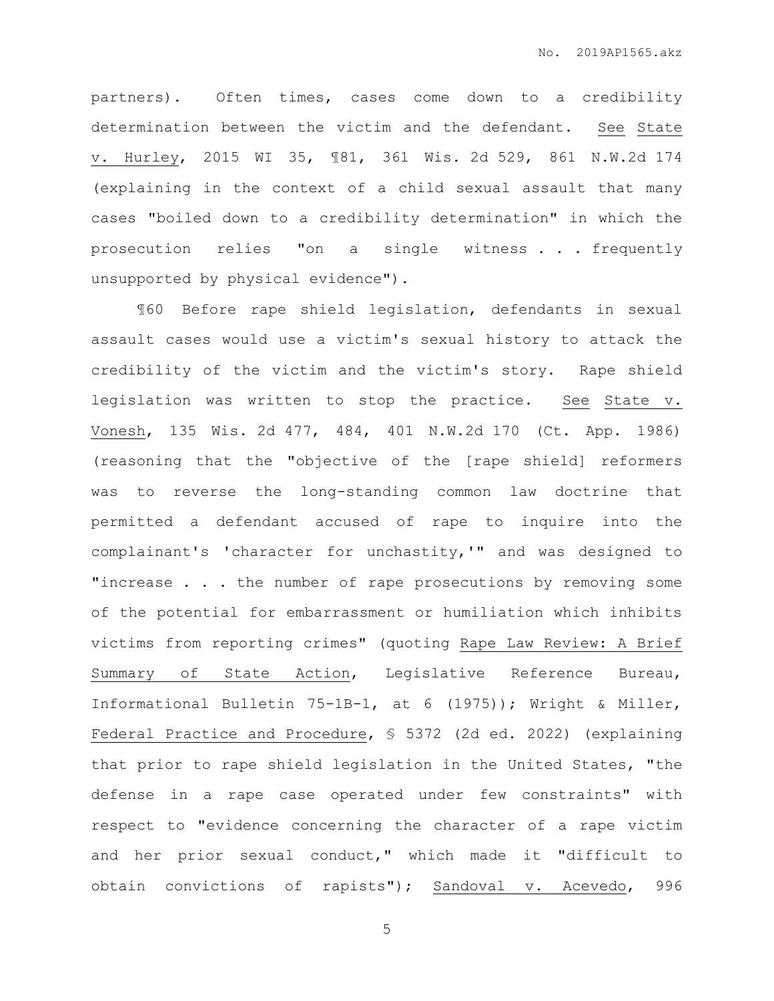partners). Often times, cases come down to a credibility determination between the victim and the defendant. See State v. Hurley, 2015 WI 35, ¶81, 361 Wis. 2d 529, 861 N.W.2d 174 (explaining in the context of a child sexual assault that many cases "boiled down to a credibility determination" in which the prosecution relies "on a single witness . . . frequently unsupported by physical evidence").

¶60 Before rape shield legislation, defendants in sexual assault cases would use a victim's sexual history to attack the credibility of the victim and the victim's story. Rape shield legislation was written to stop the practice. See State v. Vonesh, 135 Wis. 2d 477, 484, 401 N.W.2d 170 (Ct. App. 1986) (reasoning that the "objective of the [rape shield] reformers was to reverse the long-standing common law doctrine that permitted a defendant accused of rape to inquire into the complainant's 'character for unchastity,'" and was designed to "increase . . . the number of rape prosecutions by removing some of the potential for embarrassment or humiliation which inhibits victims from reporting crimes" (quoting Rape Law Review: A Brief Summary of State Action, Legislative Reference Bureau, Informational Bulletin 75-1B-1, at 6 (1975)); Wright & Miller, Federal Practice and Procedure, § 5372 (2d ed. 2022) (explaining that prior to rape shield legislation in the United States, "the defense in a rape case operated under few constraints" with respect to "evidence concerning the character of a rape victim and her prior sexual conduct," which made it "difficult to obtain convictions of rapists"); Sandoval v. Acevedo, 996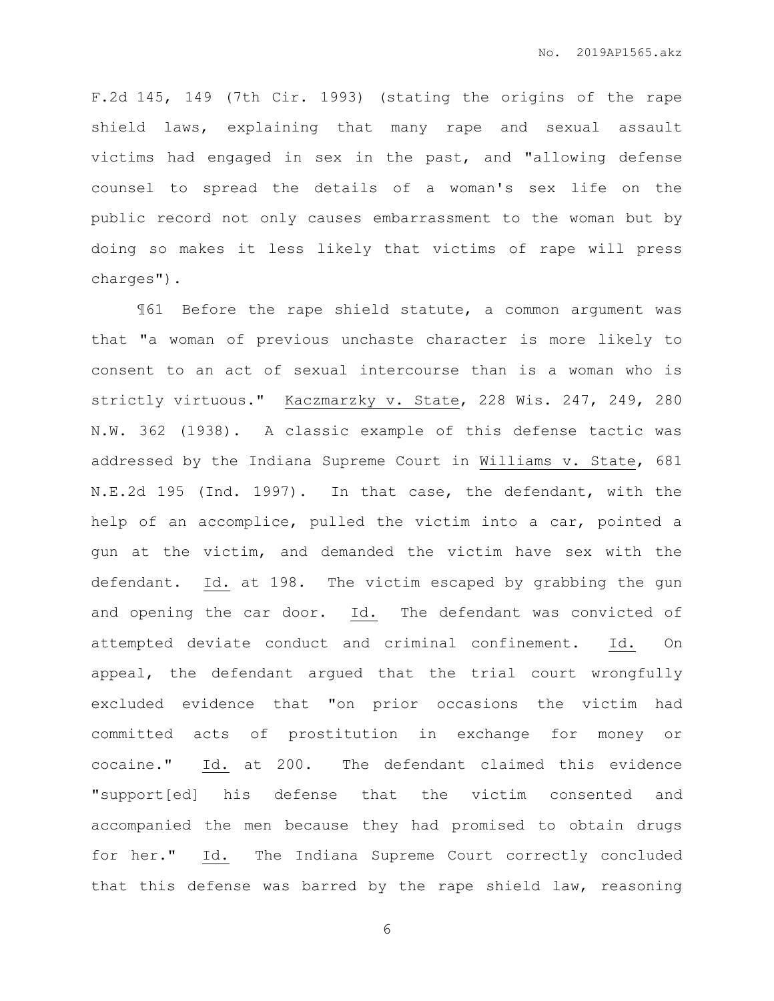F.2d 145, 149 (7th Cir. 1993) (stating the origins of the rape shield laws, explaining that many rape and sexual assault victims had engaged in sex in the past, and "allowing defense counsel to spread the details of a woman's sex life on the public record not only causes embarrassment to the woman but by doing so makes it less likely that victims of rape will press charges").

¶61 Before the rape shield statute, a common argument was that "a woman of previous unchaste character is more likely to consent to an act of sexual intercourse than is a woman who is strictly virtuous." Kaczmarzky v. State, 228 Wis. 247, 249, 280 N.W. 362 (1938). A classic example of this defense tactic was addressed by the Indiana Supreme Court in Williams v. State, 681 N.E.2d 195 (Ind. 1997). In that case, the defendant, with the help of an accomplice, pulled the victim into a car, pointed a gun at the victim, and demanded the victim have sex with the defendant. Id. at 198. The victim escaped by grabbing the gun and opening the car door. Id. The defendant was convicted of attempted deviate conduct and criminal confinement. Id. On appeal, the defendant argued that the trial court wrongfully excluded evidence that "on prior occasions the victim had committed acts of prostitution in exchange for money or cocaine." Id. at 200. The defendant claimed this evidence "support[ed] his defense that the victim consented and accompanied the men because they had promised to obtain drugs for her." Id. The Indiana Supreme Court correctly concluded that this defense was barred by the rape shield law, reasoning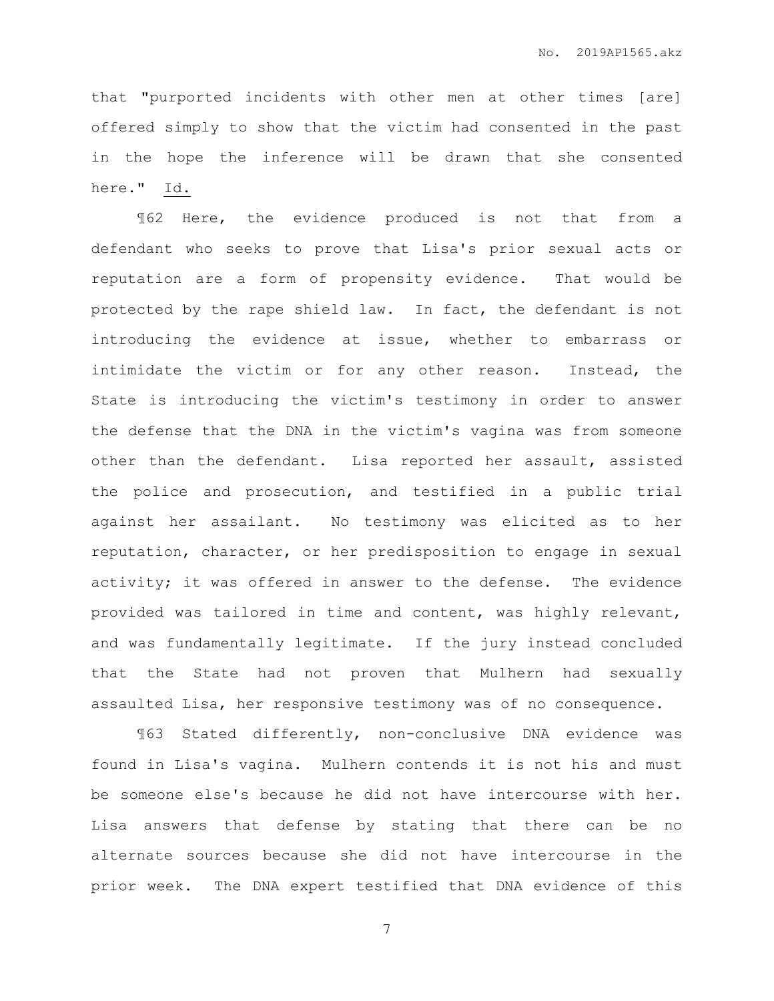that "purported incidents with other men at other times [are] offered simply to show that the victim had consented in the past in the hope the inference will be drawn that she consented here." Id.

¶62 Here, the evidence produced is not that from a defendant who seeks to prove that Lisa's prior sexual acts or reputation are a form of propensity evidence. That would be protected by the rape shield law. In fact, the defendant is not introducing the evidence at issue, whether to embarrass or intimidate the victim or for any other reason. Instead, the State is introducing the victim's testimony in order to answer the defense that the DNA in the victim's vagina was from someone other than the defendant. Lisa reported her assault, assisted the police and prosecution, and testified in a public trial against her assailant. No testimony was elicited as to her reputation, character, or her predisposition to engage in sexual activity; it was offered in answer to the defense. The evidence provided was tailored in time and content, was highly relevant, and was fundamentally legitimate. If the jury instead concluded that the State had not proven that Mulhern had sexually assaulted Lisa, her responsive testimony was of no consequence.

¶63 Stated differently, non-conclusive DNA evidence was found in Lisa's vagina. Mulhern contends it is not his and must be someone else's because he did not have intercourse with her. Lisa answers that defense by stating that there can be no alternate sources because she did not have intercourse in the prior week. The DNA expert testified that DNA evidence of this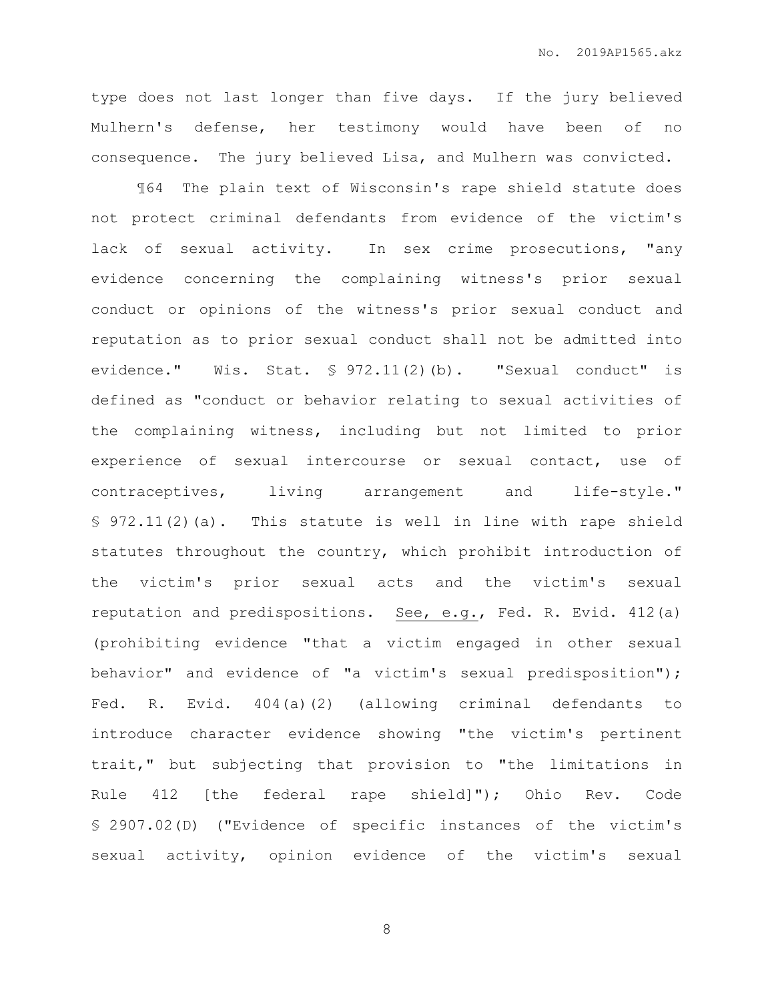type does not last longer than five days. If the jury believed Mulhern's defense, her testimony would have been of no consequence. The jury believed Lisa, and Mulhern was convicted.

¶64 The plain text of Wisconsin's rape shield statute does not protect criminal defendants from evidence of the victim's lack of sexual activity. In sex crime prosecutions, "any evidence concerning the complaining witness's prior sexual conduct or opinions of the witness's prior sexual conduct and reputation as to prior sexual conduct shall not be admitted into evidence." Wis. Stat. § 972.11(2)(b). "Sexual conduct" is defined as "conduct or behavior relating to sexual activities of the complaining witness, including but not limited to prior experience of sexual intercourse or sexual contact, use of contraceptives, living arrangement and life-style." § 972.11(2)(a). This statute is well in line with rape shield statutes throughout the country, which prohibit introduction of the victim's prior sexual acts and the victim's sexual reputation and predispositions. See, e.g., Fed. R. Evid. 412(a) (prohibiting evidence "that a victim engaged in other sexual behavior" and evidence of "a victim's sexual predisposition"); Fed. R. Evid. 404(a)(2) (allowing criminal defendants to introduce character evidence showing "the victim's pertinent trait," but subjecting that provision to "the limitations in Rule 412 [the federal rape shield]"); Ohio Rev. Code § 2907.02(D) ("Evidence of specific instances of the victim's sexual activity, opinion evidence of the victim's sexual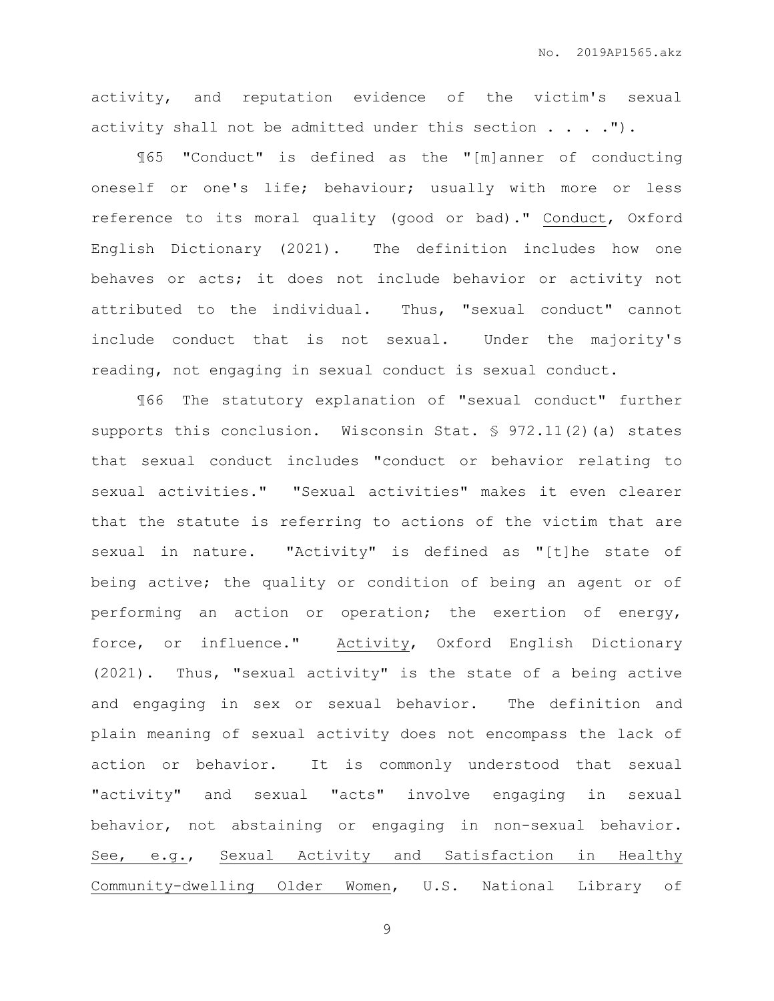activity, and reputation evidence of the victim's sexual activity shall not be admitted under this section . . . . ").

¶65 "Conduct" is defined as the "[m]anner of conducting oneself or one's life; behaviour; usually with more or less reference to its moral quality (good or bad)." Conduct, Oxford English Dictionary (2021). The definition includes how one behaves or acts; it does not include behavior or activity not attributed to the individual. Thus, "sexual conduct" cannot include conduct that is not sexual. Under the majority's reading, not engaging in sexual conduct is sexual conduct.

¶66 The statutory explanation of "sexual conduct" further supports this conclusion. Wisconsin Stat. § 972.11(2)(a) states that sexual conduct includes "conduct or behavior relating to sexual activities." "Sexual activities" makes it even clearer that the statute is referring to actions of the victim that are sexual in nature. "Activity" is defined as "[t]he state of being active; the quality or condition of being an agent or of performing an action or operation; the exertion of energy, force, or influence." Activity, Oxford English Dictionary (2021). Thus, "sexual activity" is the state of a being active and engaging in sex or sexual behavior. The definition and plain meaning of sexual activity does not encompass the lack of action or behavior. It is commonly understood that sexual "activity" and sexual "acts" involve engaging in sexual behavior, not abstaining or engaging in non-sexual behavior. See, e.g., Sexual Activity and Satisfaction in Healthy Community-dwelling Older Women, U.S. National Library of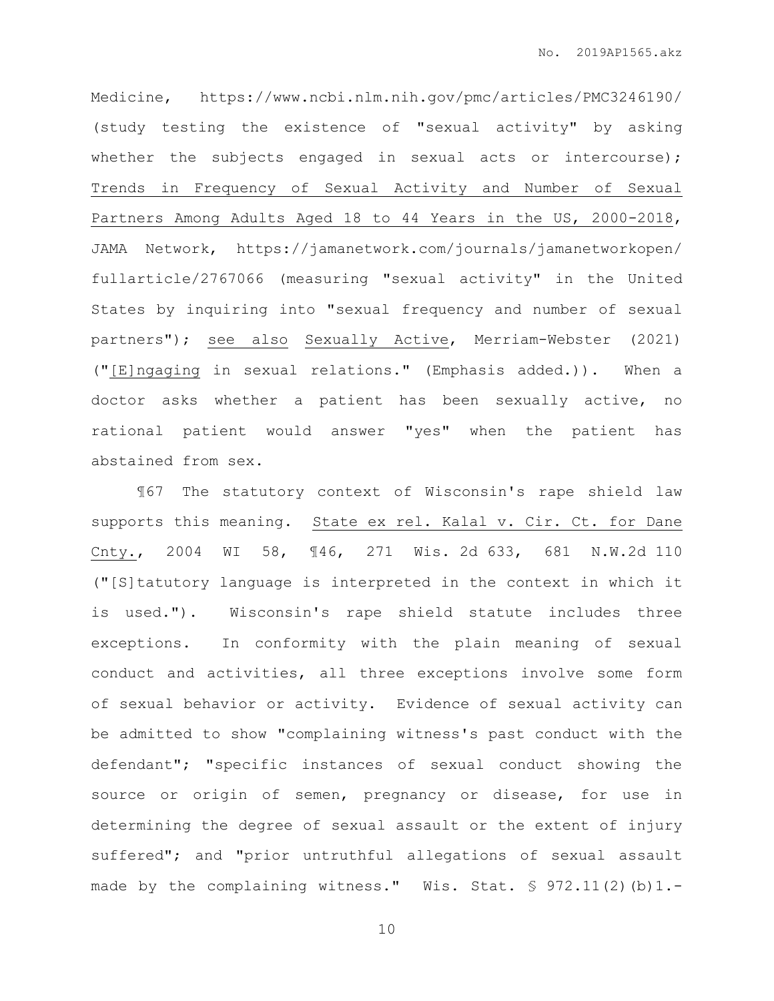Medicine, https://www.ncbi.nlm.nih.gov/pmc/articles/PMC3246190/ (study testing the existence of "sexual activity" by asking whether the subjects engaged in sexual acts or intercourse); Trends in Frequency of Sexual Activity and Number of Sexual Partners Among Adults Aged 18 to 44 Years in the US, 2000-2018, JAMA Network, https://jamanetwork.com/journals/jamanetworkopen/ fullarticle/2767066 (measuring "sexual activity" in the United States by inquiring into "sexual frequency and number of sexual partners"); see also Sexually Active, Merriam-Webster (2021) ("[E]ngaging in sexual relations." (Emphasis added.)). When a doctor asks whether a patient has been sexually active, no rational patient would answer "yes" when the patient has abstained from sex.

¶67 The statutory context of Wisconsin's rape shield law supports this meaning. State ex rel. Kalal v. Cir. Ct. for Dane Cnty., 2004 WI 58, ¶46, 271 Wis. 2d 633, 681 N.W.2d 110 ("[S]tatutory language is interpreted in the context in which it is used."). Wisconsin's rape shield statute includes three exceptions. In conformity with the plain meaning of sexual conduct and activities, all three exceptions involve some form of sexual behavior or activity. Evidence of sexual activity can be admitted to show "complaining witness's past conduct with the defendant"; "specific instances of sexual conduct showing the source or origin of semen, pregnancy or disease, for use in determining the degree of sexual assault or the extent of injury suffered"; and "prior untruthful allegations of sexual assault made by the complaining witness." Wis. Stat. § 972.11(2)(b)1.-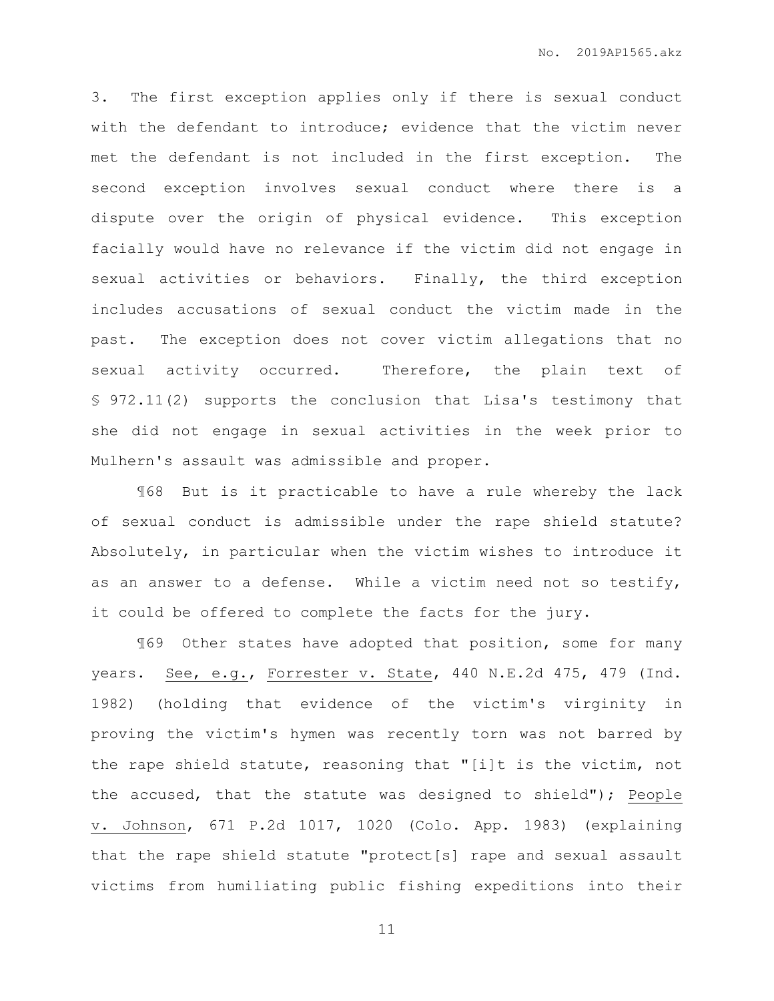3. The first exception applies only if there is sexual conduct with the defendant to introduce; evidence that the victim never met the defendant is not included in the first exception. The second exception involves sexual conduct where there is a dispute over the origin of physical evidence. This exception facially would have no relevance if the victim did not engage in sexual activities or behaviors. Finally, the third exception includes accusations of sexual conduct the victim made in the past. The exception does not cover victim allegations that no sexual activity occurred. Therefore, the plain text of § 972.11(2) supports the conclusion that Lisa's testimony that she did not engage in sexual activities in the week prior to Mulhern's assault was admissible and proper.

¶68 But is it practicable to have a rule whereby the lack of sexual conduct is admissible under the rape shield statute? Absolutely, in particular when the victim wishes to introduce it as an answer to a defense. While a victim need not so testify, it could be offered to complete the facts for the jury.

¶69 Other states have adopted that position, some for many years. See, e.g., Forrester v. State, 440 N.E.2d 475, 479 (Ind. 1982) (holding that evidence of the victim's virginity in proving the victim's hymen was recently torn was not barred by the rape shield statute, reasoning that "[i]t is the victim, not the accused, that the statute was designed to shield"); People v. Johnson, 671 P.2d 1017, 1020 (Colo. App. 1983) (explaining that the rape shield statute "protect[s] rape and sexual assault victims from humiliating public fishing expeditions into their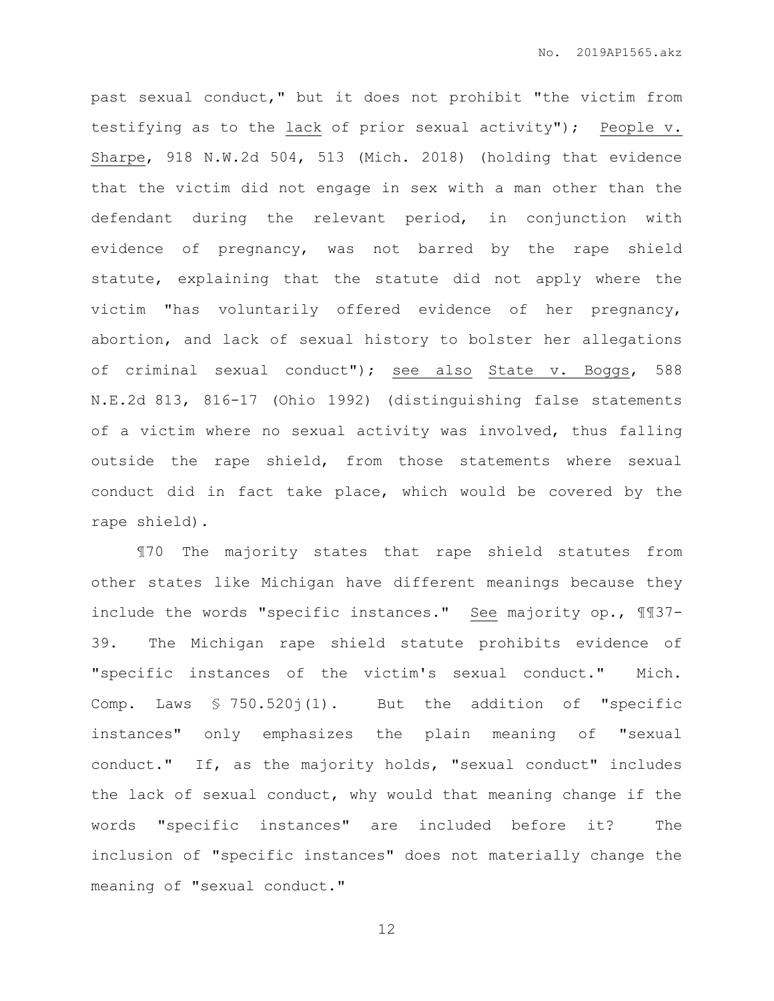past sexual conduct," but it does not prohibit "the victim from testifying as to the lack of prior sexual activity"); People v. Sharpe, 918 N.W.2d 504, 513 (Mich. 2018) (holding that evidence that the victim did not engage in sex with a man other than the defendant during the relevant period, in conjunction with evidence of pregnancy, was not barred by the rape shield statute, explaining that the statute did not apply where the victim "has voluntarily offered evidence of her pregnancy, abortion, and lack of sexual history to bolster her allegations of criminal sexual conduct"); see also State v. Boggs, 588 N.E.2d 813, 816-17 (Ohio 1992) (distinguishing false statements of a victim where no sexual activity was involved, thus falling outside the rape shield, from those statements where sexual conduct did in fact take place, which would be covered by the rape shield).

¶70 The majority states that rape shield statutes from other states like Michigan have different meanings because they include the words "specific instances." See majority op., ¶¶37- 39. The Michigan rape shield statute prohibits evidence of "specific instances of the victim's sexual conduct." Mich. Comp. Laws § 750.520j(1). But the addition of "specific instances" only emphasizes the plain meaning of "sexual conduct." If, as the majority holds, "sexual conduct" includes the lack of sexual conduct, why would that meaning change if the words "specific instances" are included before it? The inclusion of "specific instances" does not materially change the meaning of "sexual conduct."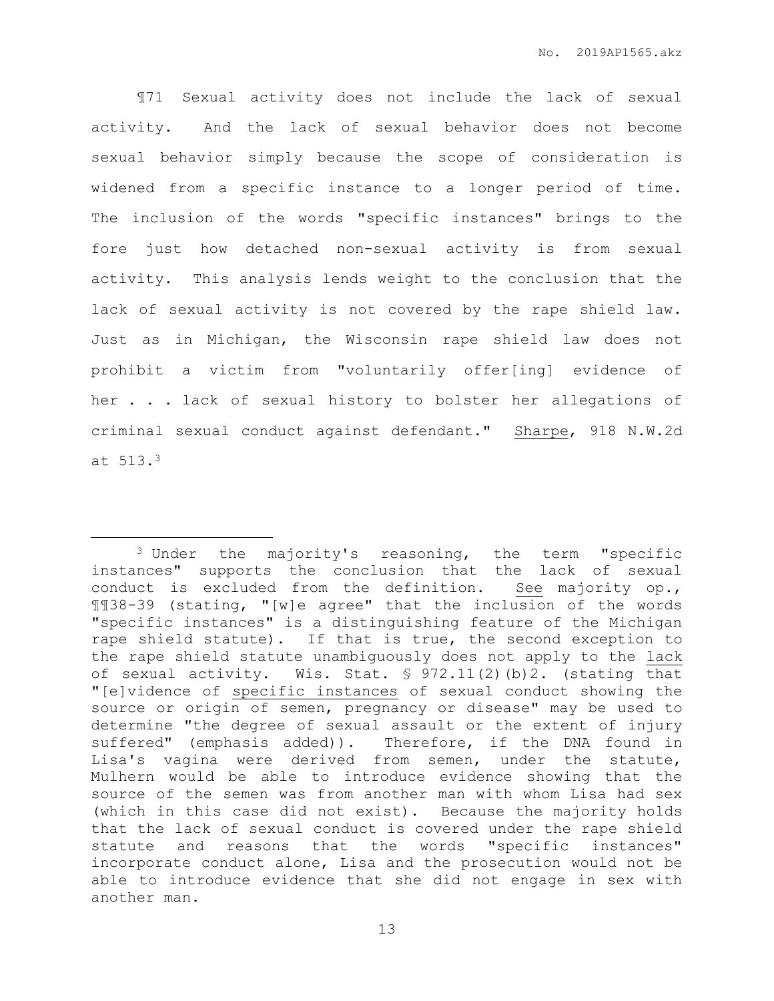¶71 Sexual activity does not include the lack of sexual activity. And the lack of sexual behavior does not become sexual behavior simply because the scope of consideration is widened from a specific instance to a longer period of time. The inclusion of the words "specific instances" brings to the fore just how detached non-sexual activity is from sexual activity. This analysis lends weight to the conclusion that the lack of sexual activity is not covered by the rape shield law. Just as in Michigan, the Wisconsin rape shield law does not prohibit a victim from "voluntarily offer[ing] evidence of her . . . lack of sexual history to bolster her allegations of criminal sexual conduct against defendant." Sharpe, 918 N.W.2d at 513.<sup>3</sup>

 $\overline{a}$ 

<sup>3</sup> Under the majority's reasoning, the term "specific instances" supports the conclusion that the lack of sexual conduct is excluded from the definition. See majority op., ¶¶38-39 (stating, "[w]e agree" that the inclusion of the words "specific instances" is a distinguishing feature of the Michigan rape shield statute). If that is true, the second exception to the rape shield statute unambiguously does not apply to the lack of sexual activity. Wis. Stat. § 972.11(2)(b)2. (stating that "[e]vidence of specific instances of sexual conduct showing the source or origin of semen, pregnancy or disease" may be used to determine "the degree of sexual assault or the extent of injury suffered" (emphasis added)). Therefore, if the DNA found in Lisa's vagina were derived from semen, under the statute, Mulhern would be able to introduce evidence showing that the source of the semen was from another man with whom Lisa had sex (which in this case did not exist). Because the majority holds that the lack of sexual conduct is covered under the rape shield statute and reasons that the words "specific instances" incorporate conduct alone, Lisa and the prosecution would not be able to introduce evidence that she did not engage in sex with another man.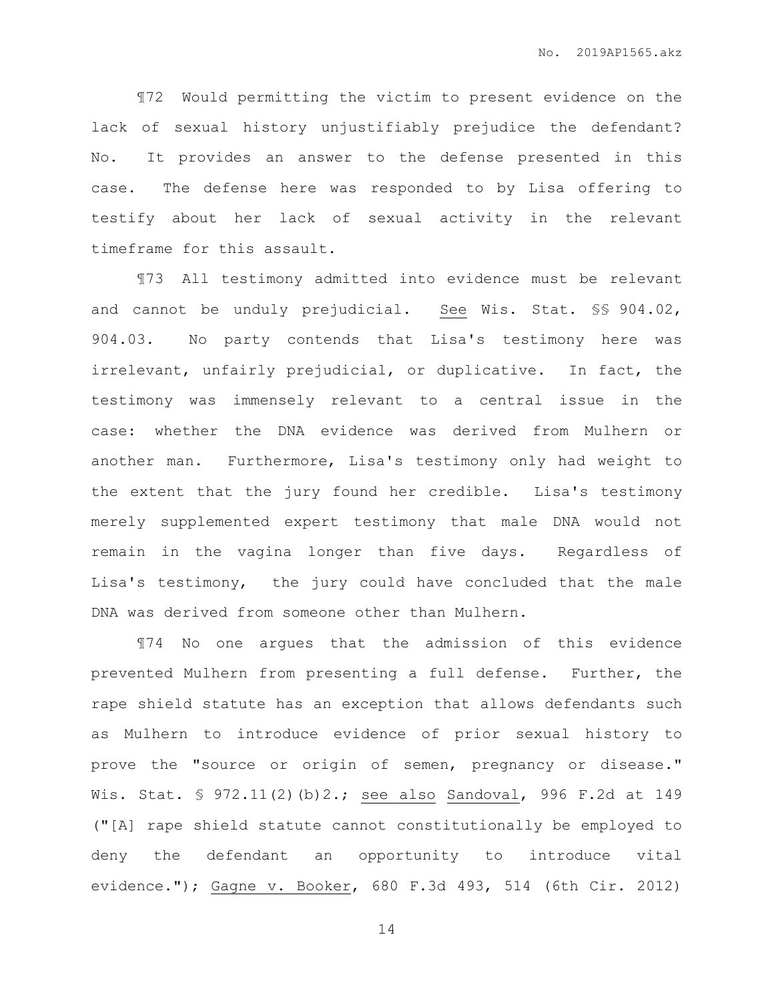¶72 Would permitting the victim to present evidence on the lack of sexual history unjustifiably prejudice the defendant? No. It provides an answer to the defense presented in this case. The defense here was responded to by Lisa offering to testify about her lack of sexual activity in the relevant timeframe for this assault.

¶73 All testimony admitted into evidence must be relevant and cannot be unduly prejudicial. See Wis. Stat. §§ 904.02, 904.03. No party contends that Lisa's testimony here was irrelevant, unfairly prejudicial, or duplicative. In fact, the testimony was immensely relevant to a central issue in the case: whether the DNA evidence was derived from Mulhern or another man. Furthermore, Lisa's testimony only had weight to the extent that the jury found her credible. Lisa's testimony merely supplemented expert testimony that male DNA would not remain in the vagina longer than five days. Regardless of Lisa's testimony, the jury could have concluded that the male DNA was derived from someone other than Mulhern.

¶74 No one argues that the admission of this evidence prevented Mulhern from presenting a full defense. Further, the rape shield statute has an exception that allows defendants such as Mulhern to introduce evidence of prior sexual history to prove the "source or origin of semen, pregnancy or disease." Wis. Stat. § 972.11(2)(b)2.; see also Sandoval, 996 F.2d at 149 ("[A] rape shield statute cannot constitutionally be employed to deny the defendant an opportunity to introduce vital evidence."); Gagne v. Booker, 680 F.3d 493, 514 (6th Cir. 2012)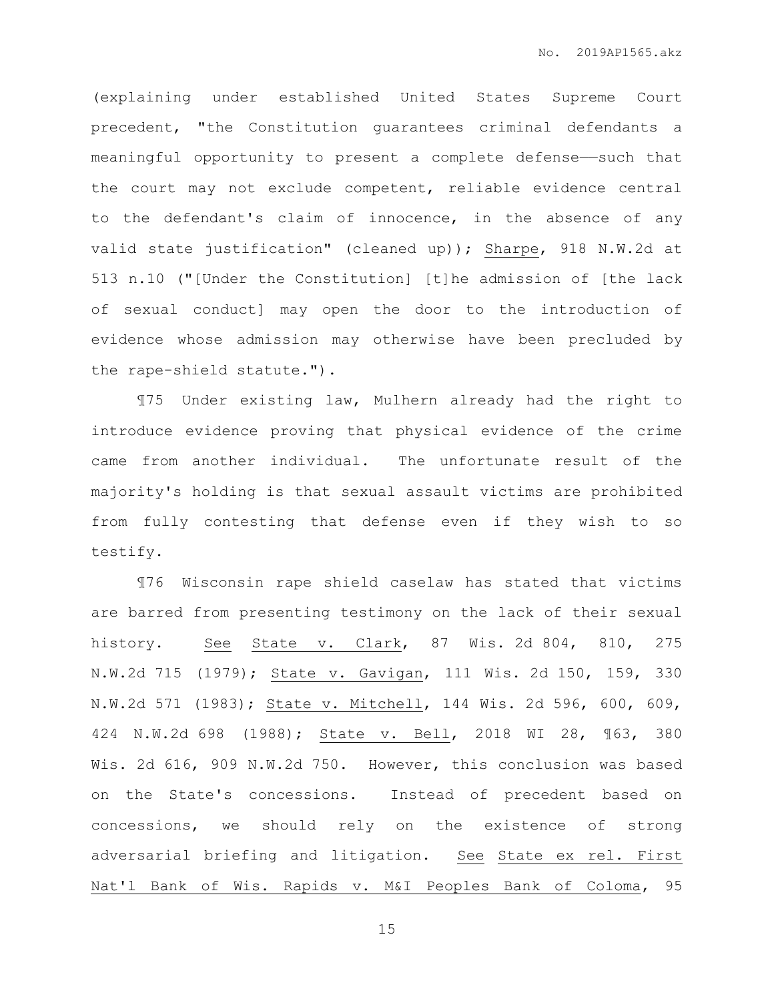(explaining under established United States Supreme Court precedent, "the Constitution guarantees criminal defendants a meaningful opportunity to present a complete defense——such that the court may not exclude competent, reliable evidence central to the defendant's claim of innocence, in the absence of any valid state justification" (cleaned up)); Sharpe, 918 N.W.2d at 513 n.10 ("[Under the Constitution] [t]he admission of [the lack of sexual conduct] may open the door to the introduction of evidence whose admission may otherwise have been precluded by the rape-shield statute.").

¶75 Under existing law, Mulhern already had the right to introduce evidence proving that physical evidence of the crime came from another individual. The unfortunate result of the majority's holding is that sexual assault victims are prohibited from fully contesting that defense even if they wish to so testify.

¶76 Wisconsin rape shield caselaw has stated that victims are barred from presenting testimony on the lack of their sexual history. See State v. Clark, 87 Wis. 2d 804, 810, 275 N.W.2d 715 (1979); State v. Gavigan, 111 Wis. 2d 150, 159, 330 N.W.2d 571 (1983); State v. Mitchell, 144 Wis. 2d 596, 600, 609, 424 N.W.2d 698 (1988); State v. Bell, 2018 WI 28, ¶63, 380 Wis. 2d 616, 909 N.W.2d 750. However, this conclusion was based on the State's concessions. Instead of precedent based on concessions, we should rely on the existence of strong adversarial briefing and litigation. See State ex rel. First Nat'l Bank of Wis. Rapids v. M&I Peoples Bank of Coloma, 95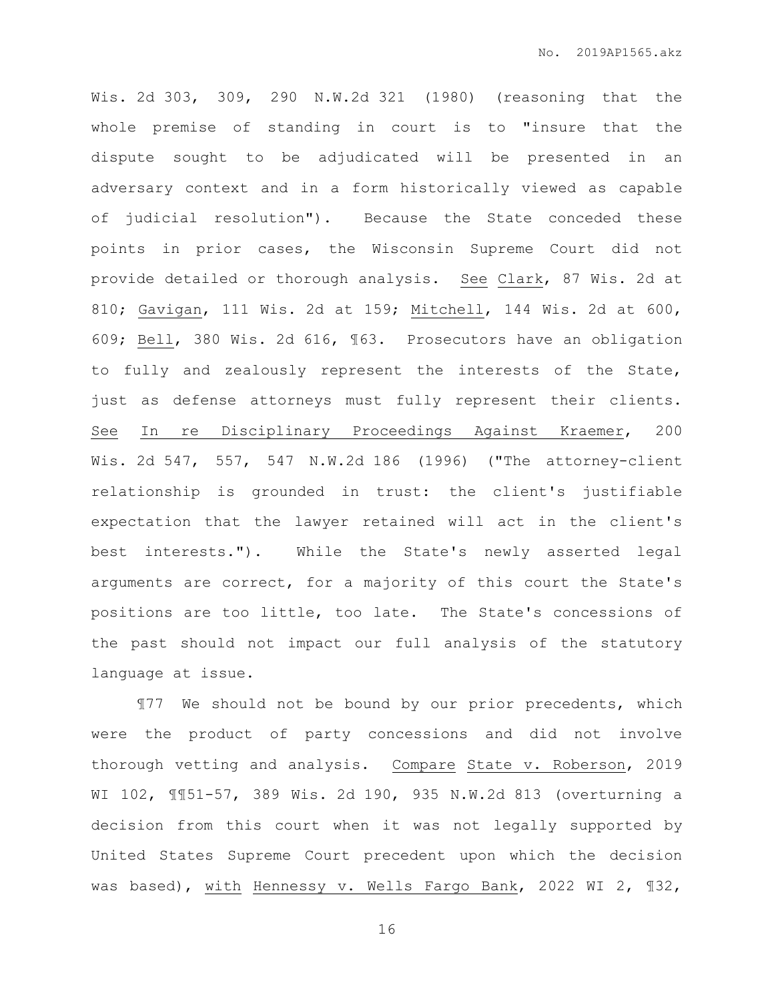Wis. 2d 303, 309, 290 N.W.2d 321 (1980) (reasoning that the whole premise of standing in court is to "insure that the dispute sought to be adjudicated will be presented in an adversary context and in a form historically viewed as capable of judicial resolution"). Because the State conceded these points in prior cases, the Wisconsin Supreme Court did not provide detailed or thorough analysis. See Clark, 87 Wis. 2d at 810; Gavigan, 111 Wis. 2d at 159; Mitchell, 144 Wis. 2d at 600, 609; Bell, 380 Wis. 2d 616, ¶63. Prosecutors have an obligation to fully and zealously represent the interests of the State, just as defense attorneys must fully represent their clients. See In re Disciplinary Proceedings Against Kraemer, 200 Wis. 2d 547, 557, 547 N.W.2d 186 (1996) ("The attorney-client relationship is grounded in trust: the client's justifiable expectation that the lawyer retained will act in the client's best interests."). While the State's newly asserted legal arguments are correct, for a majority of this court the State's positions are too little, too late. The State's concessions of the past should not impact our full analysis of the statutory language at issue.

¶77 We should not be bound by our prior precedents, which were the product of party concessions and did not involve thorough vetting and analysis. Compare State v. Roberson, 2019 WI 102, ¶¶51-57, 389 Wis. 2d 190, 935 N.W.2d 813 (overturning a decision from this court when it was not legally supported by United States Supreme Court precedent upon which the decision was based), with Hennessy v. Wells Fargo Bank, 2022 WI 2, ¶32,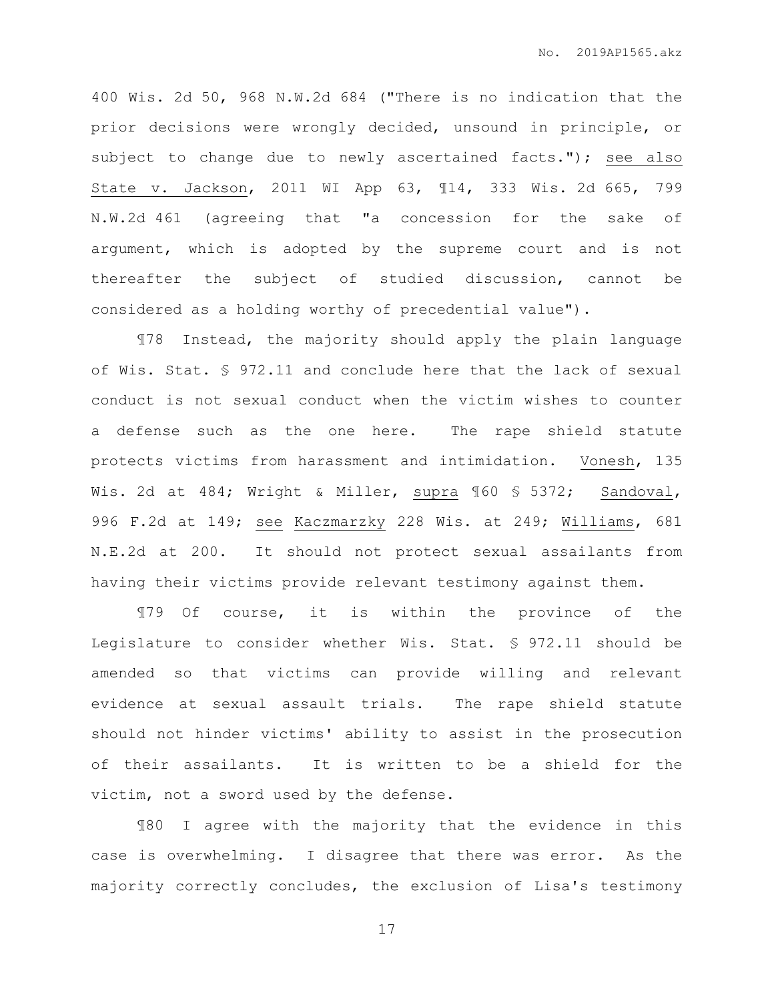400 Wis. 2d 50, 968 N.W.2d 684 ("There is no indication that the prior decisions were wrongly decided, unsound in principle, or subject to change due to newly ascertained facts."); see also State v. Jackson, 2011 WI App 63, ¶14, 333 Wis. 2d 665, 799 N.W.2d 461 (agreeing that "a concession for the sake of argument, which is adopted by the supreme court and is not thereafter the subject of studied discussion, cannot be considered as a holding worthy of precedential value").

¶78 Instead, the majority should apply the plain language of Wis. Stat. § 972.11 and conclude here that the lack of sexual conduct is not sexual conduct when the victim wishes to counter a defense such as the one here. The rape shield statute protects victims from harassment and intimidation. Vonesh, 135 Wis. 2d at 484; Wright & Miller, supra ¶60 § 5372; Sandoval, 996 F.2d at 149; see Kaczmarzky 228 Wis. at 249; Williams, 681 N.E.2d at 200. It should not protect sexual assailants from having their victims provide relevant testimony against them.

¶79 Of course, it is within the province of the Legislature to consider whether Wis. Stat. § 972.11 should be amended so that victims can provide willing and relevant evidence at sexual assault trials. The rape shield statute should not hinder victims' ability to assist in the prosecution of their assailants. It is written to be a shield for the victim, not a sword used by the defense.

¶80 I agree with the majority that the evidence in this case is overwhelming. I disagree that there was error. As the majority correctly concludes, the exclusion of Lisa's testimony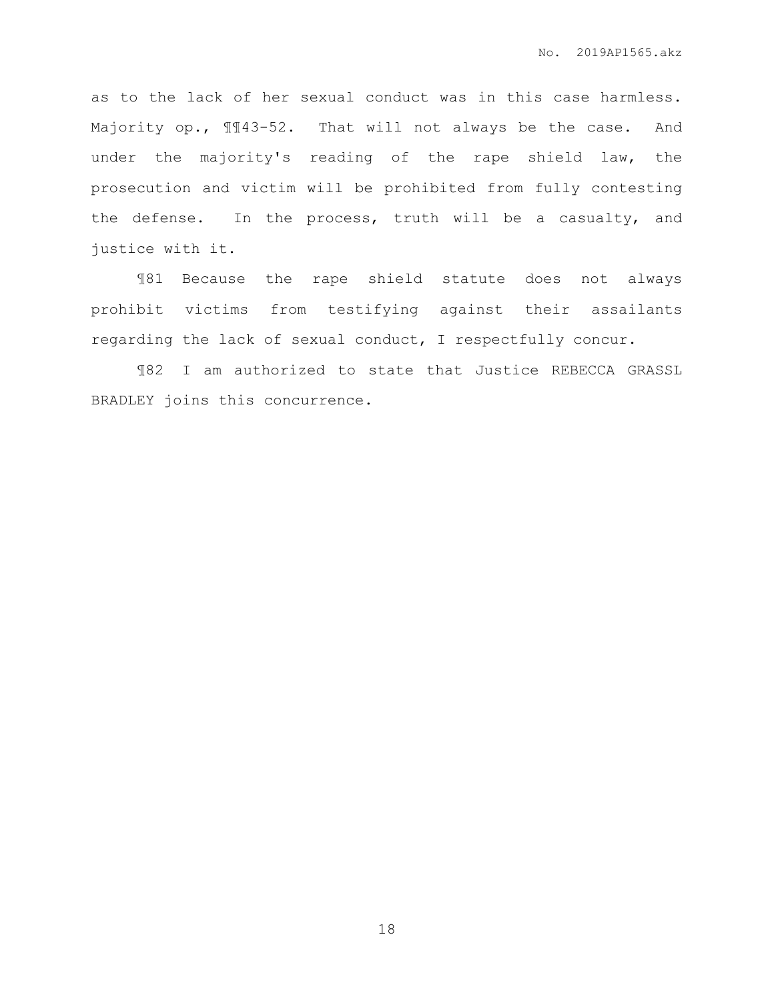as to the lack of her sexual conduct was in this case harmless. Majority op.,  $\mathbb{I}143-52$ . That will not always be the case. And under the majority's reading of the rape shield law, the prosecution and victim will be prohibited from fully contesting the defense. In the process, truth will be a casualty, and justice with it.

¶81 Because the rape shield statute does not always prohibit victims from testifying against their assailants regarding the lack of sexual conduct, I respectfully concur.

¶82 I am authorized to state that Justice REBECCA GRASSL BRADLEY joins this concurrence.